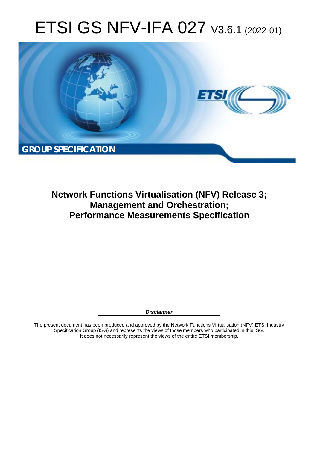# ETSI GS NFV-IFA 027 V3.6.1 (2022-01)



**Network Functions Virtualisation (NFV) Release 3; Management and Orchestration; Performance Measurements Specification** 

*Disclaimer* 

The present document has been produced and approved by the Network Functions Virtualisation (NFV) ETSI Industry Specification Group (ISG) and represents the views of those members who participated in this ISG. It does not necessarily represent the views of the entire ETSI membership.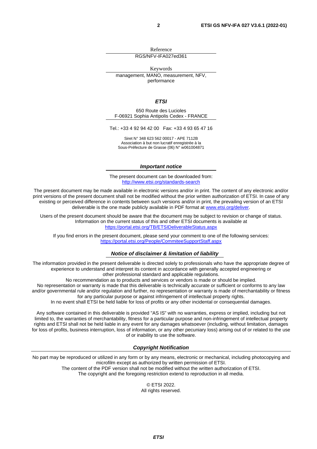Reference RGS/NFV-IFA027ed361

Keywords

management, MANO, measurement, NFV, performance

#### *ETSI*

650 Route des Lucioles F-06921 Sophia Antipolis Cedex - FRANCE

Tel.: +33 4 92 94 42 00 Fax: +33 4 93 65 47 16

Siret N° 348 623 562 00017 - APE 7112B Association à but non lucratif enregistrée à la Sous-Préfecture de Grasse (06) N° w061004871

#### *Important notice*

The present document can be downloaded from: <http://www.etsi.org/standards-search>

The present document may be made available in electronic versions and/or in print. The content of any electronic and/or print versions of the present document shall not be modified without the prior written authorization of ETSI. In case of any existing or perceived difference in contents between such versions and/or in print, the prevailing version of an ETSI deliverable is the one made publicly available in PDF format at [www.etsi.org/deliver](http://www.etsi.org/deliver).

Users of the present document should be aware that the document may be subject to revision or change of status. Information on the current status of this and other ETSI documents is available at <https://portal.etsi.org/TB/ETSIDeliverableStatus.aspx>

If you find errors in the present document, please send your comment to one of the following services: <https://portal.etsi.org/People/CommiteeSupportStaff.aspx>

#### *Notice of disclaimer & limitation of liability*

The information provided in the present deliverable is directed solely to professionals who have the appropriate degree of experience to understand and interpret its content in accordance with generally accepted engineering or other professional standard and applicable regulations.

No recommendation as to products and services or vendors is made or should be implied.

No representation or warranty is made that this deliverable is technically accurate or sufficient or conforms to any law and/or governmental rule and/or regulation and further, no representation or warranty is made of merchantability or fitness for any particular purpose or against infringement of intellectual property rights.

In no event shall ETSI be held liable for loss of profits or any other incidental or consequential damages.

Any software contained in this deliverable is provided "AS IS" with no warranties, express or implied, including but not limited to, the warranties of merchantability, fitness for a particular purpose and non-infringement of intellectual property rights and ETSI shall not be held liable in any event for any damages whatsoever (including, without limitation, damages for loss of profits, business interruption, loss of information, or any other pecuniary loss) arising out of or related to the use of or inability to use the software.

#### *Copyright Notification*

No part may be reproduced or utilized in any form or by any means, electronic or mechanical, including photocopying and microfilm except as authorized by written permission of ETSI. The content of the PDF version shall not be modified without the written authorization of ETSI.

The copyright and the foregoing restriction extend to reproduction in all media.

© ETSI 2022. All rights reserved.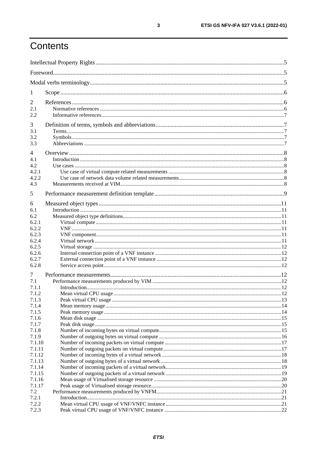# Contents

| $\mathbf{I}$     |  |  |  |  |
|------------------|--|--|--|--|
| 2                |  |  |  |  |
| 2.1              |  |  |  |  |
| 2.2              |  |  |  |  |
| 3                |  |  |  |  |
| 3.1              |  |  |  |  |
| 3.2              |  |  |  |  |
| 3.3              |  |  |  |  |
|                  |  |  |  |  |
| $\overline{4}$   |  |  |  |  |
| 4.1              |  |  |  |  |
| 4.2<br>4.2.1     |  |  |  |  |
| 4.2.2            |  |  |  |  |
| 4.3              |  |  |  |  |
| 5                |  |  |  |  |
|                  |  |  |  |  |
| 6                |  |  |  |  |
| 6.1              |  |  |  |  |
| 6.2              |  |  |  |  |
| 6.2.1            |  |  |  |  |
| 6.2.2            |  |  |  |  |
| 6.2.3<br>6.2.4   |  |  |  |  |
| 6.2.5            |  |  |  |  |
| 6.2.6            |  |  |  |  |
| 6.2.7            |  |  |  |  |
| 6.2.8            |  |  |  |  |
| 7                |  |  |  |  |
| 7.1              |  |  |  |  |
| 7.1.1            |  |  |  |  |
| 7.1.2            |  |  |  |  |
| 7.1.3            |  |  |  |  |
| 7.1.4            |  |  |  |  |
| 7.1.5            |  |  |  |  |
| 7.1.6            |  |  |  |  |
| 7.1.7            |  |  |  |  |
| 7.1.8            |  |  |  |  |
| 7.1.9            |  |  |  |  |
| 7.1.10           |  |  |  |  |
| 7.1.11<br>7.1.12 |  |  |  |  |
| 7.1.13           |  |  |  |  |
| 7.1.14           |  |  |  |  |
| 7.1.15           |  |  |  |  |
| 7.1.16           |  |  |  |  |
| 7.1.17           |  |  |  |  |
| 7.2              |  |  |  |  |
| 7.2.1            |  |  |  |  |
| 7.2.2            |  |  |  |  |
| 7.2.3            |  |  |  |  |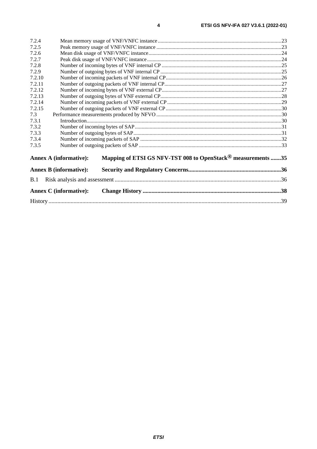| 7.2.4                         |                                                                          |  |  |  |
|-------------------------------|--------------------------------------------------------------------------|--|--|--|
| 7.2.5                         |                                                                          |  |  |  |
| 7.2.6                         |                                                                          |  |  |  |
| 7.2.7                         |                                                                          |  |  |  |
| 7.2.8                         |                                                                          |  |  |  |
| 7.2.9                         |                                                                          |  |  |  |
| 7.2.10                        |                                                                          |  |  |  |
| 7.2.11                        |                                                                          |  |  |  |
| 7.2.12                        |                                                                          |  |  |  |
| 7.2.13                        |                                                                          |  |  |  |
| 7.2.14                        |                                                                          |  |  |  |
| 7.2.15                        |                                                                          |  |  |  |
| 7.3                           |                                                                          |  |  |  |
| 7.3.1                         |                                                                          |  |  |  |
| 7.3.2                         |                                                                          |  |  |  |
| 7.3.3                         |                                                                          |  |  |  |
| 7.3.4                         |                                                                          |  |  |  |
| 7.3.5                         |                                                                          |  |  |  |
| <b>Annex A (informative):</b> | Mapping of ETSI GS NFV-TST 008 to OpenStack <sup>®</sup> measurements 35 |  |  |  |
| <b>Annex B</b> (informative): |                                                                          |  |  |  |
| B.1                           |                                                                          |  |  |  |
| <b>Annex C</b> (informative): |                                                                          |  |  |  |
|                               |                                                                          |  |  |  |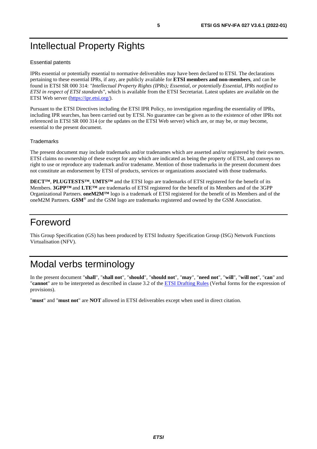# <span id="page-4-0"></span>Intellectual Property Rights

#### Essential patents

IPRs essential or potentially essential to normative deliverables may have been declared to ETSI. The declarations pertaining to these essential IPRs, if any, are publicly available for **ETSI members and non-members**, and can be found in ETSI SR 000 314: *"Intellectual Property Rights (IPRs); Essential, or potentially Essential, IPRs notified to ETSI in respect of ETSI standards"*, which is available from the ETSI Secretariat. Latest updates are available on the ETSI Web server ([https://ipr.etsi.org/\)](https://ipr.etsi.org/).

Pursuant to the ETSI Directives including the ETSI IPR Policy, no investigation regarding the essentiality of IPRs, including IPR searches, has been carried out by ETSI. No guarantee can be given as to the existence of other IPRs not referenced in ETSI SR 000 314 (or the updates on the ETSI Web server) which are, or may be, or may become, essential to the present document.

#### **Trademarks**

The present document may include trademarks and/or tradenames which are asserted and/or registered by their owners. ETSI claims no ownership of these except for any which are indicated as being the property of ETSI, and conveys no right to use or reproduce any trademark and/or tradename. Mention of those trademarks in the present document does not constitute an endorsement by ETSI of products, services or organizations associated with those trademarks.

**DECT™**, **PLUGTESTS™**, **UMTS™** and the ETSI logo are trademarks of ETSI registered for the benefit of its Members. **3GPP™** and **LTE™** are trademarks of ETSI registered for the benefit of its Members and of the 3GPP Organizational Partners. **oneM2M™** logo is a trademark of ETSI registered for the benefit of its Members and of the oneM2M Partners. **GSM**® and the GSM logo are trademarks registered and owned by the GSM Association.

# Foreword

This Group Specification (GS) has been produced by ETSI Industry Specification Group (ISG) Network Functions Virtualisation (NFV).

# Modal verbs terminology

In the present document "**shall**", "**shall not**", "**should**", "**should not**", "**may**", "**need not**", "**will**", "**will not**", "**can**" and "**cannot**" are to be interpreted as described in clause 3.2 of the [ETSI Drafting Rules](https://portal.etsi.org/Services/editHelp!/Howtostart/ETSIDraftingRules.aspx) (Verbal forms for the expression of provisions).

"**must**" and "**must not**" are **NOT** allowed in ETSI deliverables except when used in direct citation.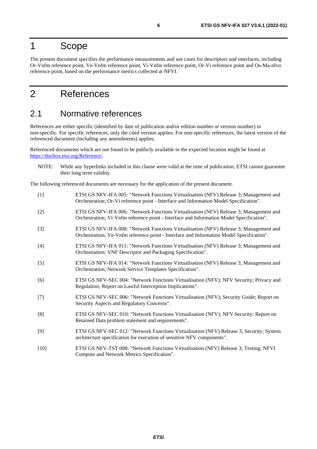# <span id="page-5-0"></span>1 Scope

The present document specifies the performance measurements and use cases for descriptors and interfaces, including Or-Vnfm reference point, Ve-Vnfm reference point, Vi-Vnfm reference point, Or-Vi reference point and Os-Ma-nfvo reference point, based on the performance metrics collected at NFVI.

# 2 References

### 2.1 Normative references

References are either specific (identified by date of publication and/or edition number or version number) or non-specific. For specific references, only the cited version applies. For non-specific references, the latest version of the referenced document (including any amendments) applies.

Referenced documents which are not found to be publicly available in the expected location might be found at <https://docbox.etsi.org/Reference/>.

NOTE: While any hyperlinks included in this clause were valid at the time of publication, ETSI cannot guarantee their long term validity.

The following referenced documents are necessary for the application of the present document.

| $[1]$  | ETSI GS NFV-IFA 005: "Network Functions Virtualisation (NFV) Release 3; Management and<br>Orchestration; Or-Vi reference point - Interface and Information Model Specification".   |
|--------|------------------------------------------------------------------------------------------------------------------------------------------------------------------------------------|
| $[2]$  | ETSI GS NFV-IFA 006: "Network Functions Virtualisation (NFV) Release 3; Management and<br>Orchestration; Vi-Vnfm reference point - Interface and Information Model Specification". |
| $[3]$  | ETSI GS NFV-IFA 008: "Network Functions Virtualisation (NFV) Release 3; Management and<br>Orchestration; Ve-Vnfm reference point - Interface and Information Model Specification". |
| $[4]$  | ETSI GS NFV-IFA 011: "Network Functions Virtualisation (NFV) Release 3; Management and<br>Orchestration; VNF Descriptor and Packaging Specification".                              |
| $[5]$  | ETSI GS NFV-IFA 014: "Network Functions Virtualisation (NFV) Release 3; Management and<br>Orchestration; Network Service Templates Specification".                                 |
| [6]    | ETSI GS NFV-SEC 004: "Network Functions Virtualisation (NFV); NFV Security; Privacy and<br>Regulation; Report on Lawful Interception Implications".                                |
| $[7]$  | ETSI GS NFV-SEC 006: "Network Functions Virtualisation (NFV); Security Guide; Report on<br>Security Aspects and Regulatory Concerns".                                              |
| [8]    | ETSI GS NFV-SEC 010: "Network Functions Virtualisation (NFV); NFV Security; Report on<br>Retained Data problem statement and requirements".                                        |
| [9]    | ETSI GS NFV-SEC 012: "Network Functions Virtualisation (NFV) Release 3; Security; System<br>architecture specification for execution of sensitive NFV components".                 |
| $[10]$ | ETSI GS NFV-TST 008: "Network Functions Virtualisation (NFV) Release 3; Testing; NFVI<br>Compute and Network Metrics Specification".                                               |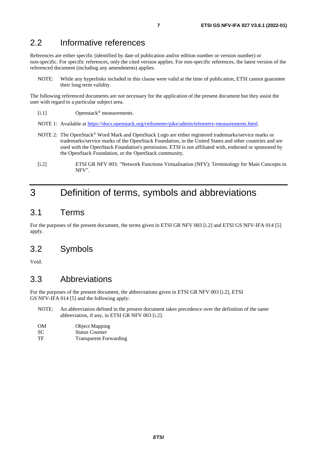### <span id="page-6-0"></span>2.2 Informative references

References are either specific (identified by date of publication and/or edition number or version number) or non-specific. For specific references, only the cited version applies. For non-specific references, the latest version of the referenced document (including any amendments) applies.

NOTE: While any hyperlinks included in this clause were valid at the time of publication, ETSI cannot guarantee their long term validity.

The following referenced documents are not necessary for the application of the present document but they assist the user with regard to a particular subject area.

- [i.1] Openstack® measurements.
- NOTE 1: Available at [https://docs.openstack.org/ceilometer/pike/admin/telemetry-measurements.html.](https://docs.openstack.org/ceilometer/pike/admin/telemetry-measurements.html)
- NOTE 2: The OpenStack® Word Mark and OpenStack Logo are either registered trademarks/service marks or trademarks/service marks of the OpenStack Foundation, in the United States and other countries and are used with the OpenStack Foundation's permission. ETSI is not affiliated with, endorsed or sponsored by the OpenStack Foundation, or the OpenStack community.
- [i.2] ETSI GR NFV 003: "Network Functions Virtualisation (NFV); Terminology for Main Concepts in NFV".

# 3 Definition of terms, symbols and abbreviations

### 3.1 Terms

For the purposes of the present document, the terms given in ETSI GR NFV 003 [i.2] and ETSI GS NFV-IFA 014 [[5](#page-5-0)] apply.

### 3.2 Symbols

Void.

### 3.3 Abbreviations

For the purposes of the present document, the abbreviations given in ETSI GR NFV 003 [i.2], ETSI GS NFV-IFA 014 [\[5\]](#page-5-0) and the following apply:

NOTE: An abbreviation defined in the present document takes precedence over the definition of the same abbreviation, if any, in ETSI GR NFV 003 [i.2].

| OМ | <b>Object Mapping</b> |
|----|-----------------------|
| SС | <b>Status Counter</b> |

TF Transparent Forwarding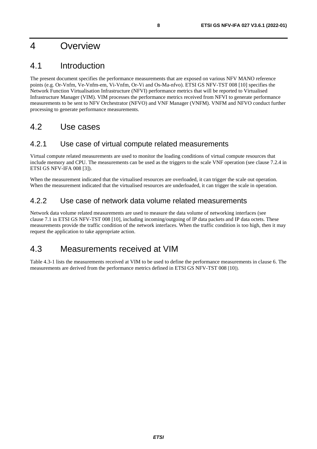# <span id="page-7-0"></span>4 Overview

# 4.1 Introduction

The present document specifies the performance measurements that are exposed on various NFV MANO reference points (e.g. Or-Vnfm, Ve-Vnfm-em, Vi-Vnfm, Or-Vi and Os-Ma-nfvo). ETSI GS NFV-TST 008 [[10\]](#page-5-0) specifies the Network Function Virtualisation Infrastructure (NFVI) performance metrics that will be reported to Virtualised Infrastructure Manager (VIM). VIM processes the performance metrics received from NFVI to generate performance measurements to be sent to NFV Orchestrator (NFVO) and VNF Manager (VNFM). VNFM and NFVO conduct further processing to generate performance measurements.

## 4.2 Use cases

#### 4.2.1 Use case of virtual compute related measurements

Virtual compute related measurements are used to monitor the loading conditions of virtual compute resources that include memory and CPU. The measurements can be used as the triggers to the scale VNF operation (see clause 7.2.4 in ETSI GS NFV-IFA 008 [\[3](#page-5-0)]).

When the measurement indicated that the virtualised resources are overloaded, it can trigger the scale out operation. When the measurement indicated that the virtualised resources are underloaded, it can trigger the scale in operation.

### 4.2.2 Use case of network data volume related measurements

Network data volume related measurements are used to measure the data volume of networking interfaces (see clause 7.1 in ETSI GS NFV-TST 008 [[10\]](#page-5-0), including incoming/outgoing of IP data packets and IP data octets. These measurements provide the traffic condition of the network interfaces. When the traffic condition is too high, then it may request the application to take appropriate action.

# 4.3 Measurements received at VIM

Table 4.3-1 lists the measurements received at VIM to be used to define the performance measurements in clause 6. The measurements are derived from the performance metrics defined in ETSI GS NFV-TST 008 [\[10\]](#page-5-0)).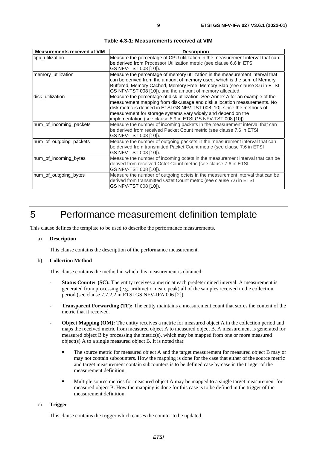<span id="page-8-0"></span>

| <b>Measurements received at VIM</b> | <b>Description</b>                                                                                                                                                                                                                                                                                                                                                     |
|-------------------------------------|------------------------------------------------------------------------------------------------------------------------------------------------------------------------------------------------------------------------------------------------------------------------------------------------------------------------------------------------------------------------|
| cpu_utilization                     | Measure the percentage of CPU utilization in the measurement interval that can<br>be derived from Processor Utilization metric (see clause 6.6 in ETSI<br>GS NFV-TST 008 [10]).                                                                                                                                                                                        |
| memory_utilization                  | Measure the percentage of memory utilization in the measurement interval that<br>can be derived from the amount of memory used, which is the sum of Memory<br>Buffered, Memory Cached, Memory Free, Memory Slab (see clause 8.6 in ETSI<br>GS NFV-TST 008 [10]), and the amount of memory allocated.                                                                   |
| disk utilization                    | Measure the percentage of disk utilization. See Annex A for an example of the<br>measurement mapping from disk.usage and disk.allocation measurements. No<br>disk metric is defined in ETSI GS NFV-TST 008 [10], since the methods of<br>measurement for storage systems vary widely and depend on the<br>implementation (see clause 8.9 in ETSI GS NFV-TST 008 [10]). |
| num_of_incoming_packets             | Measure the number of incoming packets in the measurement interval that can<br>be derived from received Packet Count metric (see clause 7.6 in ETSI<br>GS NFV-TST 008 [10]).                                                                                                                                                                                           |
| num_of_outgoing_packets             | Measure the number of outgoing packets in the measurement interval that can<br>be derived from transmitted Packet Count metric (see clause 7.6 in ETSI<br>GS NFV-TST 008 [10]).                                                                                                                                                                                        |
| num_of_incoming_bytes               | Measure the number of incoming octets in the measurement interval that can be<br>derived from received Octet Count metric (see clause 7.6 in ETSI<br>GS NFV-TST 008 [10]).                                                                                                                                                                                             |
| num_of_outgoing_bytes               | Measure the number of outgoing octets in the measurement interval that can be<br>derived from transmitted Octet Count metric (see clause 7.6 in ETSI<br>GS NFV-TST 008 [10]).                                                                                                                                                                                          |

**Table 4.3-1: Measurements received at VIM** 

# 5 Performance measurement definition template

This clause defines the template to be used to describe the performance measurements.

#### a) **Description**

This clause contains the description of the performance measurement.

#### b) **Collection Method**

This clause contains the method in which this measurement is obtained:

- Status Counter (SC): The entity receives a metric at each predetermined interval. A measurement is generated from processing (e.g. arithmetic mean, peak) all of the samples received in the collection period (see clause 7.7.2.2 in ETSI GS NFV-IFA 006 [\[2](#page-5-0)]).
- **Transparent Forwarding (TF):** The entity maintains a measurement count that stores the content of the metric that it received.
- **Object Mapping (OM):** The entity receives a metric for measured object A in the collection period and maps the received metric from measured object A to measured object B. A measurement is generated for measured object B by processing the metric(s), which may be mapped from one or more measured object(s) A to a single measured object B. It is noted that:
	- The source metric for measured object A and the target measurement for measured object B may or may not contain subcounters. How the mapping is done for the case that either of the source metric and target measurement contain subcounters is to be defined case by case in the trigger of the measurement definition.
	- Multiple source metrics for measured object A may be mapped to a single target measurement for measured object B. How the mapping is done for this case is to be defined in the trigger of the measurement definition.

#### c) **Trigger**

This clause contains the trigger which causes the counter to be updated.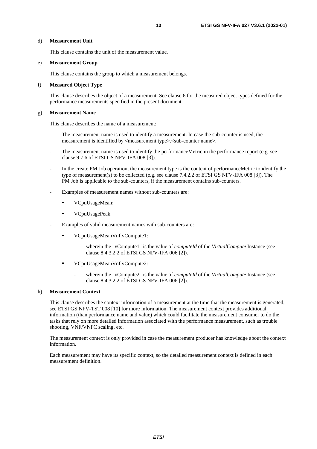#### d) **Measurement Unit**

This clause contains the unit of the measurement value.

#### e) **Measurement Group**

This clause contains the group to which a measurement belongs.

#### f) **Measured Object Type**

 This clause describes the object of a measurement. See clause 6 for the measured object types defined for the performance measurements specified in the present document.

#### g) **Measurement Name**

This clause describes the name of a measurement:

- The measurement name is used to identify a measurement. In case the sub-counter is used, the measurement is identified by  $\langle$  measurement type $\rangle$ .  $\langle$  sub-counter name $\rangle$ .
- The measurement name is used to identify the performanceMetric in the performance report (e.g. see clause 9.7.6 of ETSI GS NFV-IFA 008 [\[3\]](#page-5-0)).
- In the create PM Job operation, the measurement type is the content of performanceMetric to identify the type of measurement(s) to be collected (e.g. see clause 7.4.2.2 of ETSI GS NFV-IFA 008 [\[3](#page-5-0)]). The PM Job is applicable to the sub-counters, if the measurement contains sub-counters.
- Examples of measurement names without sub-counters are:
	- VCpuUsageMean;<br>VCpuUsagePeak
	- VCpuUsagePeak.
- Examples of valid measurement names with sub-counters are:
	- VCpuUsageMeanVnf.vCompute1:
		- wherein the "vCompute1" is the value of *computeId* of the *VirtualCompute* Instance (see clause 8.4.3.2.2 of ETSI GS NFV-IFA 006 [\[2\]](#page-5-0)).
		- VCpuUsageMeanVnf.vCompute2:
			- wherein the "vCompute2" is the value of *computeId* of the *VirtualCompute* Instance (see clause 8.4.3.2.2 of ETSI GS NFV-IFA 006 [\[2\]](#page-5-0)).

#### h) **Measurement Context**

 This clause describes the context information of a measurement at the time that the measurement is generated, see ETSI GS NFV-TST 008 [\[10](#page-5-0)] for more information. The measurement context provides additional information (than performance name and value) which could facilitate the measurement consumer to do the tasks that rely on more detailed information associated with the performance measurement, such as trouble shooting, VNF/VNFC scaling, etc.

 The measurement context is only provided in case the measurement producer has knowledge about the context information.

 Each measurement may have its specific context, so the detailed measurement context is defined in each measurement definition.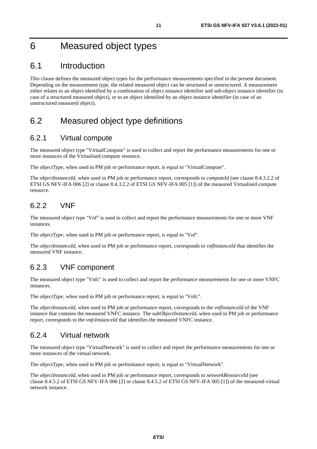# <span id="page-10-0"></span>6 Measured object types

# 6.1 Introduction

This clause defines the measured object types for the performance measurements specified in the present document. Depending on the measurement type, the related measured object can be structured or unstructured. A measurement either relates to an object identified by a combination of object instance identifier and sub-object instance identifier (in case of a structured measured object), or to an object identified by an object instance identifier (in case of an unstructured measured object).

# 6.2 Measured object type definitions

### 6.2.1 Virtual compute

The measured object type "VirtualCompute" is used to collect and report the performance measurements for one or more instances of the Virtualised compute resource.

The *objectType*, when used in PM job or performance report, is equal to "VirtualCompute".

The *objectInstanceId*, when used in PM job or performance report, corresponds to *computeId* (see clause 8.4.3.2.2 of ETSI GS NFV-IFA 006 [\[2](#page-5-0)] or clause 8.4.3.2.2 of ETSI GS NFV-IFA 005 [\[1](#page-5-0)]) of the measured Virtualised compute resource.

### 6.2.2 VNF

The measured object type "Vnf" is used to collect and report the performance measurements for one or more VNF instances.

The *objectType*, when used in PM job or performance report, is equal to "Vnf".

The *objectInstanceId*, when used in PM job or performance report, corresponds to *vnfInstanceId* that identifies the measured VNF instance.

### 6.2.3 VNF component

The measured object type "Vnfc" is used to collect and report the performance measurements for one or more VNFC instances.

The *objectType*, when used in PM job or performance report, is equal to "Vnfc".

The *objectInstanceId*, when used in PM job or performance report, corresponds to the *vnfInstanceId* of the VNF instance that contains the measured VNFC instance. The *subObjectInstanceId*, when used in PM job or performance report, corresponds to the *vnfcInstanceId* that identifies the measured VNFC instance.

### 6.2.4 Virtual network

The measured object type "VirtualNetwork" is used to collect and report the performance measurements for one or more instances of the virtual network.

The *objectType*, when used in PM job or performance report, is equal to "VirtualNetwork".

The *objectInstanceId*, when used in PM job or performance report, corresponds to *networkResourceId* (see clause 8.4.5.2 of ETSI GS NFV-IFA 006 [\[2\]](#page-5-0) or clause 8.4.5.2 of ETSI GS NFV-IFA 005 [\[1](#page-5-0)]) of the measured virtual network instance.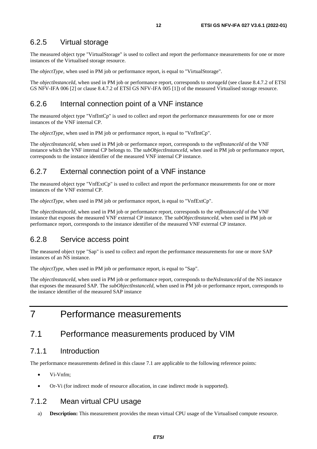#### <span id="page-11-0"></span>6.2.5 Virtual storage

The measured object type "VirtualStorage" is used to collect and report the performance measurements for one or more instances of the Virtualised storage resource.

The *objectType*, when used in PM job or performance report, is equal to "VirtualStorage".

The *objectInstanceId*, when used in PM job or performance report, corresponds to *storageId* (see clause 8.4.7.2 of ETSI GS NFV-IFA 006 [\[2\]](#page-5-0) or clause 8.4.7.2 of ETSI GS NFV-IFA 005 [\[1](#page-5-0)]) of the measured Virtualised storage resource.

#### 6.2.6 Internal connection point of a VNF instance

The measured object type "VnfIntCp" is used to collect and report the performance measurements for one or more instances of the VNF internal CP.

The *objectType*, when used in PM job or performance report, is equal to "VnfIntCp".

The *objectInstanceId*, when used in PM job or performance report, corresponds to the *vnfInstanceId* of the VNF instance which the VNF internal CP belongs to. The *subObjectInstanceId*, when used in PM job or performance report, corresponds to the instance identifier of the measured VNF internal CP instance.

#### 6.2.7 External connection point of a VNF instance

The measured object type "VnfExtCp" is used to collect and report the performance measurements for one or more instances of the VNF external CP.

The *objectType*, when used in PM job or performance report, is equal to "VnfExtCp".

The *objectInstanceId*, when used in PM job or performance report, corresponds to the *vnfInstanceId* of the VNF instance that exposes the measured VNF external CP instance. The *subObjectInstanceId*, when used in PM job or performance report, corresponds to the instance identifier of the measured VNF external CP instance.

#### 6.2.8 Service access point

The measured object type "Sap" is used to collect and report the performance measurements for one or more SAP instances of an NS instance.

The *objectType*, when used in PM job or performance report, is equal to "Sap".

The *objectInstanceId*, when used in PM job or performance report, corresponds to the*NsInstanceId* of the NS instance that exposes the measured SAP. The *subObjectInstanceId*, when used in PM job or performance report, corresponds to the instance identifier of the measured SAP instance

7 Performance measurements

### 7.1 Performance measurements produced by VIM

#### 7.1.1 Introduction

The performance measurements defined in this clause 7.1 are applicable to the following reference points:

- Vi-Vnfm;
- Or-Vi (for indirect mode of resource allocation, in case indirect mode is supported).

### 7.1.2 Mean virtual CPU usage

a) **Description:** This measurement provides the mean virtual CPU usage of the Virtualised compute resource.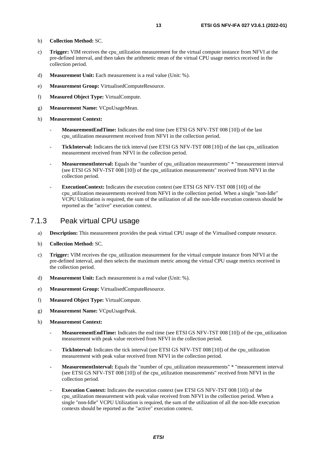- <span id="page-12-0"></span>b) **Collection Method:** SC.
- c) **Trigger:** VIM receives the cpu\_utilization measurement for the virtual compute instance from NFVI at the pre-defined interval, and then takes the arithmetic mean of the virtual CPU usage metrics received in the collection period.
- d) **Measurement Unit:** Each measurement is a real value (Unit: %).
- e) **Measurement Group:** VirtualisedComputeResource.
- f) **Measured Object Type:** VirtualCompute.
- g) **Measurement Name:** VCpuUsageMean.
- h) **Measurement Context:**
	- **MeasurementEndTime:** Indicates the end time (see ETSI GS NFV-TST 008 [\[10](#page-5-0)]) of the last cpu\_utilization measurement received from NFVI in the collection period.
	- **TickInterval:** Indicates the tick interval (see ETSI GS NFV-TST 008 [\[10\]](#page-5-0)) of the last cpu\_utilization measurement received from NFVI in the collection period.
	- **MeasurementInterval:** Equals the "number of cpu\_utilization measurements" \* "measurement interval (see ETSI GS NFV-TST 008 [\[10](#page-5-0)]) of the cpu\_utilization measurements" received from NFVI in the collection period.
	- **ExecutionContext:** Indicates the execution context (see ETSI GS NFV-TST 008 [\[10](#page-5-0)]) of the cpu\_utilization measurements received from NFVI in the collection period. When a single "non-Idle" VCPU Utilization is required, the sum of the utilization of all the non-Idle execution contexts should be reported as the "active" execution context.

#### 7.1.3 Peak virtual CPU usage

- a) **Description:** This measurement provides the peak virtual CPU usage of the Virtualised compute resource.
- b) **Collection Method:** SC.
- c) **Trigger:** VIM receives the cpu\_utilization measurement for the virtual compute instance from NFVI at the pre-defined interval, and then selects the maximum metric among the virtual CPU usage metrics received in the collection period.
- d) **Measurement Unit:** Each measurement is a real value (Unit: %).
- e) **Measurement Group:** VirtualisedComputeResource.
- f) **Measured Object Type:** VirtualCompute.
- g) **Measurement Name:** VCpuUsagePeak.
- h) **Measurement Context:**
	- **MeasurementEndTime:** Indicates the end time (see ETSI GS NFV-TST 008 [\[10](#page-5-0)]) of the cpu\_utilization measurement with peak value received from NFVI in the collection period.
	- **TickInterval:** Indicates the tick interval (see ETSI GS NFV-TST 008 [\[10\]](#page-5-0)) of the cpu utilization measurement with peak value received from NFVI in the collection period.
	- **MeasurementInterval:** Equals the "number of cpu\_utilization measurements" \* "measurement interval (see ETSI GS NFV-TST 008 [\[10](#page-5-0)]) of the cpu\_utilization measurements" received from NFVI in the collection period.
	- **Execution Context:** Indicates the execution context (see ETSI GS NFV-TST 008 [[10](#page-5-0)]) of the cpu\_utilization measurement with peak value received from NFVI in the collection period. When a single "non-Idle" VCPU Utilization is required, the sum of the utilization of all the non-Idle execution contexts should be reported as the "active" execution context.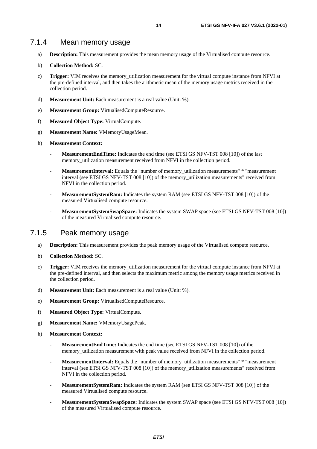- <span id="page-13-0"></span>a) **Description:** This measurement provides the mean memory usage of the Virtualised compute resource.
- b) **Collection Method:** SC.
- c) **Trigger:** VIM receives the memory\_utilization measurement for the virtual compute instance from NFVI at the pre-defined interval, and then takes the arithmetic mean of the memory usage metrics received in the collection period.
- d) **Measurement Unit:** Each measurement is a real value (Unit: %).
- e) **Measurement Group:** VirtualisedComputeResource.
- f) **Measured Object Type:** VirtualCompute.
- g) **Measurement Name:** VMemoryUsageMean.
- h) **Measurement Context:**
	- **MeasurementEndTime:** Indicates the end time (see ETSI GS NFV-TST 008 [\[10](#page-5-0)]) of the last memory utilization measurement received from NFVI in the collection period.
	- **MeasurementInterval:** Equals the "number of memory utilization measurements" \* "measurement interval (see ETSI GS NFV-TST 008 [\[10](#page-5-0)]) of the memory\_utilization measurements" received from NFVI in the collection period.
	- MeasurementSystemRam: Indicates the system RAM (see ETSI GS NFV-TST 008 [[10\]](#page-5-0)) of the measured Virtualised compute resource.
	- **MeasurementSystemSwapSpace:** Indicates the system SWAP space (see ETSI GS NFV-TST 008 [\[10](#page-5-0)]) of the measured Virtualised compute resource.

#### 7.1.5 Peak memory usage

- a) **Description:** This measurement provides the peak memory usage of the Virtualised compute resource.
- b) **Collection Method:** SC.
- c) **Trigger:** VIM receives the memory\_utilization measurement for the virtual compute instance from NFVI at the pre-defined interval, and then selects the maximum metric among the memory usage metrics received in the collection period.
- d) **Measurement Unit:** Each measurement is a real value (Unit: %).
- e) **Measurement Group:** VirtualisedComputeResource.
- f) **Measured Object Type:** VirtualCompute.
- g) **Measurement Name:** VMemoryUsagePeak.
- h) **Measurement Context:**
	- **MeasurementEndTime:** Indicates the end time (see ETSI GS NFV-TST 008 [\[10](#page-5-0)]) of the memory\_utilization measurement with peak value received from NFVI in the collection period.
	- **MeasurementInterval:** Equals the "number of memory utilization measurements" \* "measurement interval (see ETSI GS NFV-TST 008 [\[10](#page-5-0)]) of the memory\_utilization measurements" received from NFVI in the collection period.
	- MeasurementSystemRam: Indicates the system RAM (see ETSI GS NFV-TST 008 [[10\]](#page-5-0)) of the measured Virtualised compute resource.
	- **MeasurementSystemSwapSpace:** Indicates the system SWAP space (see ETSI GS NFV-TST 008 [\[10](#page-5-0)]) of the measured Virtualised compute resource.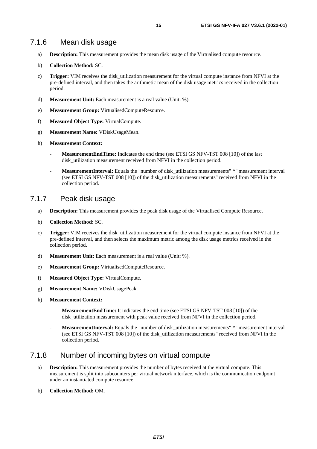- <span id="page-14-0"></span>a) **Description:** This measurement provides the mean disk usage of the Virtualised compute resource.
- b) **Collection Method:** SC.
- c) **Trigger:** VIM receives the disk\_utilization measurement for the virtual compute instance from NFVI at the pre-defined interval, and then takes the arithmetic mean of the disk usage metrics received in the collection period.
- d) **Measurement Unit:** Each measurement is a real value (Unit: %).
- e) **Measurement Group:** VirtualisedComputeResource.
- f) **Measured Object Type:** VirtualCompute.
- g) **Measurement Name:** VDiskUsageMean.
- h) **Measurement Context:**
	- **MeasurementEndTime:** Indicates the end time (see ETSI GS NFV-TST 008 [\[10](#page-5-0)]) of the last disk utilization measurement received from NFVI in the collection period.
	- **MeasurementInterval:** Equals the "number of disk\_utilization measurements" \* "measurement interval (see ETSI GS NFV-TST 008 [\[10](#page-5-0)]) of the disk\_utilization measurements" received from NFVI in the collection period.

#### 7.1.7 Peak disk usage

- a) **Description:** This measurement provides the peak disk usage of the Virtualised Compute Resource.
- b) **Collection Method:** SC.
- c) **Trigger:** VIM receives the disk\_utilization measurement for the virtual compute instance from NFVI at the pre-defined interval, and then selects the maximum metric among the disk usage metrics received in the collection period.
- d) **Measurement Unit:** Each measurement is a real value (Unit: %).
- e) **Measurement Group:** VirtualisedComputeResource.
- f) **Measured Object Type:** VirtualCompute.
- g) **Measurement Name:** VDiskUsagePeak.
- h) **Measurement Context:**
	- MeasurementEndTime: It indicates the end time (see ETSI GS NFV-TST 008 [\[10](#page-5-0)]) of the disk\_utilization measurement with peak value received from NFVI in the collection period.
	- **MeasurementInterval:** Equals the "number of disk\_utilization measurements" \* "measurement interval (see ETSI GS NFV-TST 008 [\[10](#page-5-0)]) of the disk\_utilization measurements" received from NFVI in the collection period.

#### 7.1.8 Number of incoming bytes on virtual compute

- a) **Description:** This measurement provides the number of bytes received at the virtual compute. This measurement is split into subcounters per virtual network interface, which is the communication endpoint under an instantiated compute resource.
- b) **Collection Method:** OM.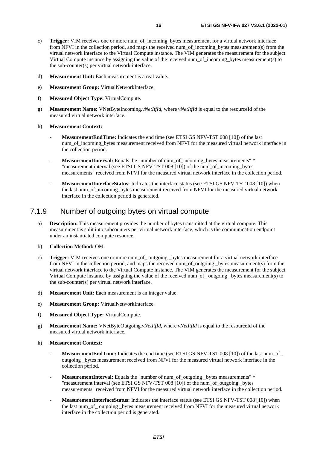- <span id="page-15-0"></span>c) **Trigger:** VIM receives one or more num\_of\_incoming\_bytes measurement for a virtual network interface from NFVI in the collection period, and maps the received num of incoming bytes measurement(s) from the virtual network interface to the Virtual Compute instance. The VIM generates the measurement for the subject Virtual Compute instance by assigning the value of the received num\_of\_incoming\_bytes measurement(s) to the sub-counter(s) per virtual network interface.
- d) **Measurement Unit:** Each measurement is a real value.
- e) **Measurement Group:** VirtualNetworkInterface.
- f) **Measured Object Type:** VirtualCompute.
- g) **Measurement Name:** VNetByteIncoming.*vNetItfId*, where *vNetItfId* is equal to the resourceId of the measured virtual network interface.
- h) **Measurement Context:**
	- **MeasurementEndTime:** Indicates the end time (see ETSI GS NFV-TST 008 [\[10](#page-5-0)]) of the last num of incoming bytes measurement received from NFVI for the measured virtual network interface in the collection period.
	- **MeasurementInterval:** Equals the "number of num\_of\_incoming\_bytes measurements" \* "measurement interval (see ETSI GS NFV-TST 008 [\[10](#page-5-0)]) of the num\_of\_incoming\_bytes measurements" received from NFVI for the measured virtual network interface in the collection period.
	- **MeasurementInterfaceStatus:** Indicates the interface status (see ETSI GS NFV-TST 008 [\[10](#page-5-0)]) when the last num\_of\_incoming\_bytes measurement received from NFVI for the measured virtual network interface in the collection period is generated.

#### 7.1.9 Number of outgoing bytes on virtual compute

- a) **Description:** This measurement provides the number of bytes transmitted at the virtual compute. This measurement is split into subcounters per virtual network interface, which is the communication endpoint under an instantiated compute resource.
- b) **Collection Method:** OM.
- c) **Trigger:** VIM receives one or more num\_of\_ outgoing \_bytes measurement for a virtual network interface from NFVI in the collection period, and maps the received num\_of\_outgoing \_bytes measurement(s) from the virtual network interface to the Virtual Compute instance. The VIM generates the measurement for the subject Virtual Compute instance by assigning the value of the received num\_of\_ outgoing \_bytes measurement(s) to the sub-counter(s) per virtual network interface.
- d) **Measurement Unit:** Each measurement is an integer value.
- e) **Measurement Group:** VirtualNetworkInterface.
- f) **Measured Object Type:** VirtualCompute.
- g) **Measurement Name:** VNetByteOutgoing.*vNetItfId*, where *vNetItfId* is equal to the resourceId of the measured virtual network interface.
- h) **Measurement Context:**
	- MeasurementEndTime: Indicates the end time (see ETSI GS NFV-TST 008 [\[10](#page-5-0)]) of the last num\_of outgoing \_bytes measurement received from NFVI for the measured virtual network interface in the collection period.
	- **MeasurementInterval:** Equals the "number of num\_of\_outgoing \_bytes measurements" \* "measurement interval (see ETSI GS NFV-TST 008 [\[10](#page-5-0)]) of the num\_of\_outgoing \_bytes measurements" received from NFVI for the measured virtual network interface in the collection period.
	- **MeasurementInterfaceStatus:** Indicates the interface status (see ETSI GS NFV-TST 008 [\[10](#page-5-0)]) when the last num\_of\_ outgoing \_bytes measurement received from NFVI for the measured virtual network interface in the collection period is generated.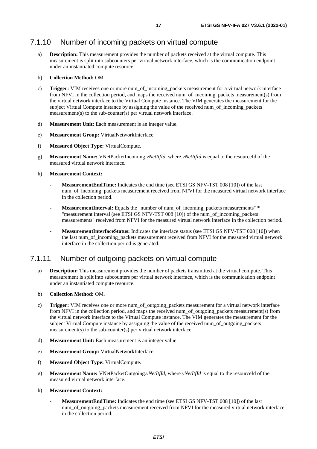### <span id="page-16-0"></span>7.1.10 Number of incoming packets on virtual compute

a) **Description:** This measurement provides the number of packets received at the virtual compute. This measurement is split into subcounters per virtual network interface, which is the communication endpoint under an instantiated compute resource.

#### b) **Collection Method:** OM.

- c) **Trigger:** VIM receives one or more num\_of\_incoming\_packets measurement for a virtual network interface from NFVI in the collection period, and maps the received num\_of\_incoming\_packets measurement(s) from the virtual network interface to the Virtual Compute instance. The VIM generates the measurement for the subject Virtual Compute instance by assigning the value of the received num\_of\_incoming\_packets measurement(s) to the sub-counter(s) per virtual network interface.
- d) **Measurement Unit:** Each measurement is an integer value.
- e) **Measurement Group:** VirtualNetworkInterface.
- f) **Measured Object Type:** VirtualCompute.
- g) **Measurement Name:** VNetPacketIncoming.*vNetItfId*, where *vNetItfId* is equal to the resourceId of the measured virtual network interface.
- h) **Measurement Context:**
	- **MeasurementEndTime:** Indicates the end time (see ETSI GS NFV-TST 008 [\[10](#page-5-0)]) of the last num\_of\_incoming\_packets measurement received from NFVI for the measured virtual network interface in the collection period.
	- **MeasurementInterval:** Equals the "number of num\_of\_incoming\_packets measurements" \* "measurement interval (see ETSI GS NFV-TST 008 [\[10](#page-5-0)]) of the num\_of\_incoming\_packets measurements" received from NFVI for the measured virtual network interface in the collection period.
	- **MeasurementInterfaceStatus:** Indicates the interface status (see ETSI GS NFV-TST 008 [\[10](#page-5-0)]) when the last num\_of\_incoming\_packets measurement received from NFVI for the measured virtual network interface in the collection period is generated.

#### 7.1.11 Number of outgoing packets on virtual compute

a) **Description:** This measurement provides the number of packets transmitted at the virtual compute. This measurement is split into subcounters per virtual network interface, which is the communication endpoint under an instantiated compute resource.

#### b) **Collection Method:** OM.

- c) **Trigger:** VIM receives one or more num\_of\_outgoing\_packets measurement for a virtual network interface from NFVI in the collection period, and maps the received num\_of\_outgoing\_packets measurement(s) from the virtual network interface to the Virtual Compute instance. The VIM generates the measurement for the subject Virtual Compute instance by assigning the value of the received num of outgoing packets measurement(s) to the sub-counter(s) per virtual network interface.
- d) **Measurement Unit:** Each measurement is an integer value.
- e) **Measurement Group:** VirtualNetworkInterface.
- f) **Measured Object Type:** VirtualCompute.
- g) **Measurement Name:** VNetPacketOutgoing.*vNetItfId*, where *vNetItfId* is equal to the resourceId of the measured virtual network interface.
- h) **Measurement Context:**
	- **MeasurementEndTime:** Indicates the end time (see ETSI GS NFV-TST 008 [\[10](#page-5-0)]) of the last num\_of\_outgoing\_packets measurement received from NFVI for the measured virtual network interface in the collection period.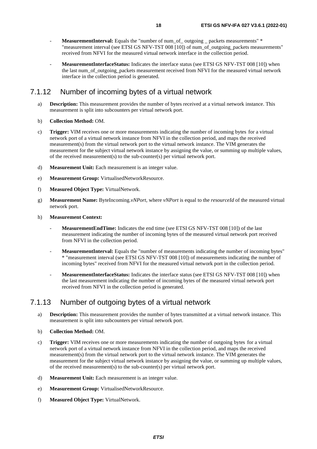- <span id="page-17-0"></span>**MeasurementInterval:** Equals the "number of num\_of\_ outgoing \_ packets measurements" \* "measurement interval (see ETSI GS NFV-TST 008 [\[10](#page-5-0)]) of num\_of\_outgoing\_packets measurements" received from NFVI for the measured virtual network interface in the collection period.
- **MeasurementInterfaceStatus:** Indicates the interface status (see ETSI GS NFV-TST 008 [\[10](#page-5-0)]) when the last num\_of\_outgoing\_packets measurement received from NFVI for the measured virtual network interface in the collection period is generated.

#### 7.1.12 Number of incoming bytes of a virtual network

- a) **Description:** This measurement provides the number of bytes received at a virtual network instance. This measurement is split into subcounters per virtual network port.
- b) **Collection Method:** OM.
- c) **Trigger:** VIM receives one or more measurements indicating the number of incoming bytes for a virtual network port of a virtual network instance from NFVI in the collection period, and maps the received measurement(s) from the virtual network port to the virtual network instance. The VIM generates the measurement for the subject virtual network instance by assigning the value, or summing up multiple values, of the received measurement(s) to the sub-counter(s) per virtual network port.
- d) **Measurement Unit:** Each measurement is an integer value.
- e) **Measurement Group:** VirtualisedNetworkResource.
- f) **Measured Object Type:** VirtualNetwork.
- g) **Measurement Name:** ByteIncoming.*vNPort*, where *vNPort* is equal to the *resourceId* of the measured virtual network port.
- h) **Measurement Context:**
	- **MeasurementEndTime:** Indicates the end time (see ETSI GS NFV-TST 008 [\[10](#page-5-0)]) of the last measurement indicating the number of incoming bytes of the measured virtual network port received from NFVI in the collection period.
	- **MeasurementInterval:** Equals the "number of measurements indicating the number of incoming bytes" \* "measurement interval (see ETSI GS NFV-TST 008 [[10](#page-5-0)]) of measurements indicating the number of incoming bytes" received from NFVI for the measured virtual network port in the collection period.
	- **MeasurementInterfaceStatus:** Indicates the interface status (see ETSI GS NFV-TST 008 [\[10](#page-5-0)]) when the last measurement indicating the number of incoming bytes of the measured virtual network port received from NFVI in the collection period is generated.

#### 7.1.13 Number of outgoing bytes of a virtual network

- a) **Description:** This measurement provides the number of bytes transmitted at a virtual network instance. This measurement is split into subcounters per virtual network port.
- b) **Collection Method:** OM.
- c) **Trigger:** VIM receives one or more measurements indicating the number of outgoing bytes for a virtual network port of a virtual network instance from NFVI in the collection period, and maps the received measurement(s) from the virtual network port to the virtual network instance. The VIM generates the measurement for the subject virtual network instance by assigning the value, or summing up multiple values, of the received measurement(s) to the sub-counter(s) per virtual network port.
- d) **Measurement Unit:** Each measurement is an integer value.
- e) **Measurement Group:** VirtualisedNetworkResource.
- f) **Measured Object Type:** VirtualNetwork.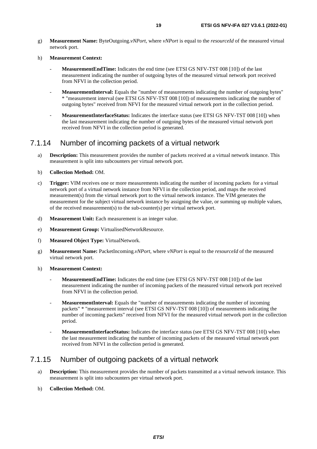<span id="page-18-0"></span>g) **Measurement Name:** ByteOutgoing.*vNPort*, where *vNPort* is equal to the *resourceId* of the measured virtual network port.

#### h) **Measurement Context:**

- **MeasurementEndTime:** Indicates the end time (see ETSI GS NFV-TST 008 [\[10](#page-5-0)]) of the last measurement indicating the number of outgoing bytes of the measured virtual network port received from NFVI in the collection period.
- **MeasurementInterval:** Equals the "number of measurements indicating the number of outgoing bytes" \* "measurement interval (see ETSI GS NFV-TST 008 [[10](#page-5-0)]) of measurements indicating the number of outgoing bytes" received from NFVI for the measured virtual network port in the collection period.
- **MeasurementInterfaceStatus:** Indicates the interface status (see ETSI GS NFV-TST 008 [\[10](#page-5-0)]) when the last measurement indicating the number of outgoing bytes of the measured virtual network port received from NFVI in the collection period is generated.

#### 7.1.14 Number of incoming packets of a virtual network

- a) **Description:** This measurement provides the number of packets received at a virtual network instance. This measurement is split into subcounters per virtual network port.
- b) **Collection Method:** OM.
- c) **Trigger:** VIM receives one or more measurements indicating the number of incoming packets for a virtual network port of a virtual network instance from NFVI in the collection period, and maps the received measurement(s) from the virtual network port to the virtual network instance. The VIM generates the measurement for the subject virtual network instance by assigning the value, or summing up multiple values, of the received measurement(s) to the sub-counter(s) per virtual network port.
- d) **Measurement Unit:** Each measurement is an integer value.
- e) **Measurement Group:** VirtualisedNetworkResource.
- f) **Measured Object Type:** VirtualNetwork.
- g) **Measurement Name:** PacketIncoming.*vNPort*, where *vNPort* is equal to the *resourceId* of the measured virtual network port.
- h) **Measurement Context:**
	- **MeasurementEndTime:** Indicates the end time (see ETSI GS NFV-TST 008 [\[10](#page-5-0)]) of the last measurement indicating the number of incoming packets of the measured virtual network port received from NFVI in the collection period.
	- **MeasurementInterval:** Equals the "number of measurements indicating the number of incoming packets" \* "measurement interval (see ETSI GS NFV-TST 008 [\[10](#page-5-0)]) of measurements indicating the number of incoming packets" received from NFVI for the measured virtual network port in the collection period.
	- **MeasurementInterfaceStatus:** Indicates the interface status (see ETSI GS NFV-TST 008 [\[10](#page-5-0)]) when the last measurement indicating the number of incoming packets of the measured virtual network port received from NFVI in the collection period is generated.

#### 7.1.15 Number of outgoing packets of a virtual network

- a) **Description:** This measurement provides the number of packets transmitted at a virtual network instance. This measurement is split into subcounters per virtual network port.
- b) **Collection Method:** OM.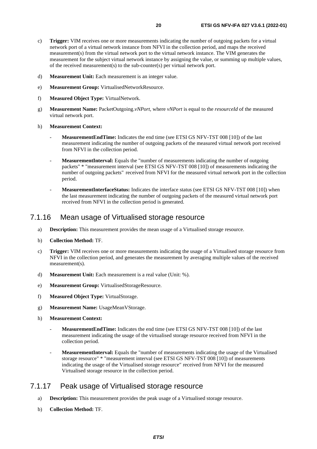- <span id="page-19-0"></span>c) **Trigger:** VIM receives one or more measurements indicating the number of outgoing packets for a virtual network port of a virtual network instance from NFVI in the collection period, and maps the received measurement(s) from the virtual network port to the virtual network instance. The VIM generates the measurement for the subject virtual network instance by assigning the value, or summing up multiple values, of the received measurement(s) to the sub-counter(s) per virtual network port.
- d) **Measurement Unit:** Each measurement is an integer value.
- e) **Measurement Group:** VirtualisedNetworkResource.
- f) **Measured Object Type:** VirtualNetwork.
- g) **Measurement Name:** PacketOutgoing.*vNPort*, where *vNPort* is equal to the *resourceId* of the measured virtual network port.
- h) **Measurement Context:**
	- MeasurementEndTime: Indicates the end time (see ETSI GS NFV-TST 008 [\[10](#page-5-0)]) of the last measurement indicating the number of outgoing packets of the measured virtual network port received from NFVI in the collection period.
	- **MeasurementInterval:** Equals the "number of measurements indicating the number of outgoing packets" \* "measurement interval (see ETSI GS NFV-TST 008 [\[10](#page-5-0)]) of measurements indicating the number of outgoing packets" received from NFVI for the measured virtual network port in the collection period.
	- **MeasurementInterfaceStatus:** Indicates the interface status (see ETSI GS NFV-TST 008 [\[10](#page-5-0)]) when the last measurement indicating the number of outgoing packets of the measured virtual network port received from NFVI in the collection period is generated.

#### 7.1.16 Mean usage of Virtualised storage resource

- a) **Description:** This measurement provides the mean usage of a Virtualised storage resource.
- b) **Collection Method:** TF.
- c) **Trigger:** VIM receives one or more measurements indicating the usage of a Virtualised storage resource from NFVI in the collection period, and generates the measurement by averaging multiple values of the received measurement(s).
- d) **Measurement Unit:** Each measurement is a real value (Unit: %).
- e) **Measurement Group:** VirtualisedStorageResource.
- f) **Measured Object Type:** VirtualStorage.
- g) **Measurement Name:** UsageMeanVStorage.
- h) **Measurement Context:**
	- **MeasurementEndTime:** Indicates the end time (see ETSI GS NFV-TST 008 [\[10](#page-5-0)]) of the last measurement indicating the usage of the virtualised storage resource received from NFVI in the collection period.
	- **MeasurementInterval:** Equals the "number of measurements indicating the usage of the Virtualised storage resource" \* "measurement interval (see ETSI GS NFV-TST 008 [\[10](#page-5-0)]) of measurements indicating the usage of the Virtualised storage resource" received from NFVI for the measured Virtualised storage resource in the collection period.

#### 7.1.17 Peak usage of Virtualised storage resource

- a) **Description:** This measurement provides the peak usage of a Virtualised storage resource.
- b) **Collection Method:** TF.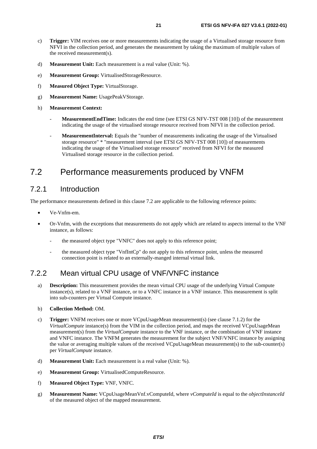- <span id="page-20-0"></span>c) **Trigger:** VIM receives one or more measurements indicating the usage of a Virtualised storage resource from NFVI in the collection period, and generates the measurement by taking the maximum of multiple values of the received measurement(s).
- d) **Measurement Unit:** Each measurement is a real value (Unit: %).
- e) **Measurement Group:** VirtualisedStorageResource.
- f) **Measured Object Type:** VirtualStorage.
- g) **Measurement Name:** UsagePeakVStorage.
- h) **Measurement Context:**
	- **MeasurementEndTime:** Indicates the end time (see ETSI GS NFV-TST 008 [\[10](#page-5-0)]) of the measurement indicating the usage of the virtualised storage resource received from NFVI in the collection period.
	- **MeasurementInterval:** Equals the "number of measurements indicating the usage of the Virtualised storage resource" \* "measurement interval (see ETSI GS NFV-TST 008 [\[10](#page-5-0)]) of measurements indicating the usage of the Virtualised storage resource" received from NFVI for the measured Virtualised storage resource in the collection period.

### 7.2 Performance measurements produced by VNFM

### 7.2.1 Introduction

The performance measurements defined in this clause 7.2 are applicable to the following reference points:

- Ve-Vnfm-em.
- Or-Vnfm, with the exceptions that measurements do not apply which are related to aspects internal to the VNF instance, as follows:
	- the measured object type "VNFC" does not apply to this reference point;
	- the measured object type "VnfIntCp" do not apply to this reference point, unless the measured connection point is related to an externally-manged internal virtual link.

### 7.2.2 Mean virtual CPU usage of VNF/VNFC instance

- a) **Description:** This measurement provides the mean virtual CPU usage of the underlying Virtual Compute instance(s), related to a VNF instance, or to a VNFC instance in a VNF instance. This measurement is split into sub-counters per Virtual Compute instance.
- b) **Collection Method:** OM.
- c) **Trigger:** VNFM receives one or more VCpuUsageMean measurement(s) (see clause 7.1.2) for the *VirtualCompute* instance(s) from the VIM in the collection period, and maps the received VCpuUsageMean measurement(s) from the *VirtualCompute* instance to the VNF instance, or the combination of VNF instance and VNFC instance. The VNFM generates the measurement for the subject VNF/VNFC instance by assigning the value or averaging multiple values of the received VCpuUsageMean measurement(s) to the sub-counter(s) per *VirtualCompute* instance.
- d) **Measurement Unit:** Each measurement is a real value (Unit: %).
- e) **Measurement Group:** VirtualisedComputeResource.
- f) **Measured Object Type:** VNF, VNFC.
- g) **Measurement Name:** VCpuUsageMeanVnf.vComputeId, where *vComputeId* is equal to the *objectInstanceId* of the measured object of the mapped measurement.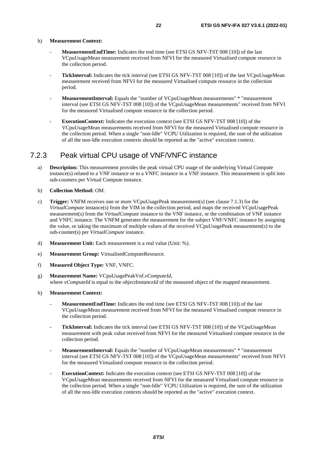<span id="page-21-0"></span>h) **Measurement Context:**

- MeasurementEndTime: Indicates the end time (see ETSI GS NFV-TST 008 [\[10](#page-5-0)]) of the last VCpuUsageMean measurement received from NFVI for the measured Virtualised compute resource in the collection period.
- **TickInterval:** Indicates the tick interval (see ETSI GS NFV-TST 008 [\[10\]](#page-5-0)) of the last VCpuUsageMean measurement received from NFVI for the measured Virtualised compute resource in the collection period.
- **MeasurementInterval:** Equals the "number of VCpuUsageMean measurements" \* "measurement interval (see ETSI GS NFV-TST 008 [\[10](#page-5-0)]) of the VCpuUsageMean measurements" received from NFVI for the measured Virtualised compute resource in the collection period.
- **ExecutionContext:** Indicates the execution context (see ETSI GS NFV-TST 008 [\[10](#page-5-0)]) of the VCpuUsageMean measurements received from NFVI for the measured Virtualised compute resource in the collection period. When a single "non-Idle" VCPU Utilization is required, the sum of the utilization of all the non-Idle execution contexts should be reported as the "active" execution context.

#### 7.2.3 Peak virtual CPU usage of VNF/VNFC instance

- a) **Description:** This measurement provides the peak virtual CPU usage of the underlying Virtual Compute instance(s) related to a VNF instance or to a VNFC instance in a VNF instance. This measurement is split into sub-counters per Virtual Compute instance.
- b) **Collection Method:** OM.
- c) **Trigger:** VNFM receives one or more VCpuUsagePeak measurement(s) (see clause 7.1.3) for the *VirtualCompute* instance(s) from the VIM in the collection period, and maps the received VCpuUsagePeak measurement(s) from the *VirtualCompute* instance to the VNF instance, or the combination of VNF instance and VNFC instance. The VNFM generates the measurement for the subject VNF/VNFC instance by assigning the value, or taking the maximum of multiple values of the received VCpuUsagePeak measurement(s) to the sub-counter(s) per *VirtualCompute* instance.
- d) **Measurement Unit:** Each measurement is a real value (Unit: %).
- e) **Measurement Group:** VirtualisedComputeResource.
- f) **Measured Object Type:** VNF, VNFC.
- g) **Measurement Name:** VCpuUsagePeakVnf.*vComputeId*, where *vComputeId* is equal to the *objectInstanceId* of the measured object of the mapped measurement.
- h) **Measurement Context:**
	- **MeasurementEndTime:** Indicates the end time (see ETSI GS NFV-TST 008 [\[10](#page-5-0)]) of the last VCpuUsageMean measurement received from NFVI for the measured Virtualised compute resource in the collection period.
	- TickInterval: Indicates the tick interval (see ETSI GS NFV-TST 008 [\[10\]](#page-5-0)) of the VCpuUsageMean measurement with peak value received from NFVI for the measured Virtualised compute resource in the collection period.
	- **MeasurementInterval:** Equals the "number of VCpuUsageMean measurements" \* "measurement interval (see ETSI GS NFV-TST 008 [\[10](#page-5-0)]) of the VCpuUsageMean measurements" received from NFVI for the measured Virtualised compute resource in the collection period.
	- ExecutionContext: Indicates the execution context (see ETSI GS NFV-TST 008 [\[10](#page-5-0)]) of the VCpuUsageMean measurements received from NFVI for the measured Virtualised compute resource in the collection period. When a single "non-Idle" VCPU Utilization is required, the sum of the utilization of all the non-Idle execution contexts should be reported as the "active" execution context.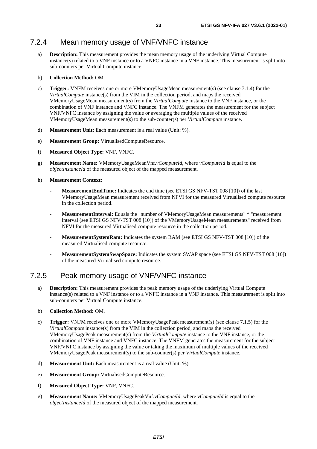#### <span id="page-22-0"></span>7.2.4 Mean memory usage of VNF/VNFC instance

a) **Description:** This measurement provides the mean memory usage of the underlying Virtual Compute instance(s) related to a VNF instance or to a VNFC instance in a VNF instance. This measurement is split into sub-counters per Virtual Compute instance.

#### b) **Collection Method:** OM.

- c) **Trigger:** VNFM receives one or more VMemoryUsageMean measurement(s) (see clause 7.1.4) for the *VirtualCompute* instance(s) from the VIM in the collection period, and maps the received VMemoryUsageMean measurement(s) from the *VirtualCompute* instance to the VNF instance, or the combination of VNF instance and VNFC instance. The VNFM generates the measurement for the subject VNF/VNFC instance by assigning the value or averaging the multiple values of the received VMemoryUsageMean measurement(s) to the sub-counter(s) per *VirtualCompute* instance.
- d) **Measurement Unit:** Each measurement is a real value (Unit: %).
- e) **Measurement Group:** VirtualisedComputeResource.
- f) **Measured Object Type:** VNF, VNFC.
- g) **Measurement Name:** VMemoryUsageMeanVnf.*vComputeId*, where *vComputeId* is equal to the *objectInstanceId* of the measured object of the mapped measurement.
- h) **Measurement Context:**
	- **MeasurementEndTime:** Indicates the end time (see ETSI GS NFV-TST 008 [\[10](#page-5-0)]) of the last VMemoryUsageMean measurement received from NFVI for the measured Virtualised compute resource in the collection period.
	- **MeasurementInterval:** Equals the "number of VMemoryUsageMean measurements" \* "measurement interval (see ETSI GS NFV-TST 008 [\[10](#page-5-0)]) of the VMemoryUsageMean measurements" received from NFVI for the measured Virtualised compute resource in the collection period.
	- **MeasurementSystemRam:** Indicates the system RAM (see ETSI GS NFV-TST 008 [[10\]](#page-5-0)) of the measured Virtualised compute resource.
	- **MeasurementSystemSwapSpace:** Indicates the system SWAP space (see ETSI GS NFV-TST 008 [\[10](#page-5-0)]) of the measured Virtualised compute resource.

#### 7.2.5 Peak memory usage of VNF/VNFC instance

- a) **Description:** This measurement provides the peak memory usage of the underlying Virtual Compute instance(s) related to a VNF instance or to a VNFC instance in a VNF instance. This measurement is split into sub-counters per Virtual Compute instance.
- b) **Collection Method:** OM.
- c) **Trigger:** VNFM receives one or more VMemoryUsagePeak measurement(s) (see clause 7.1.5) for the *VirtualCompute* instance(s) from the VIM in the collection period, and maps the received VMemoryUsagePeak measurement(s) from the *VirtualCompute* instance to the VNF instance, or the combination of VNF instance and VNFC instance. The VNFM generates the measurement for the subject VNF/VNFC instance by assigning the value or taking the maximum of multiple values of the received VMemoryUsagePeak measurement(s) to the sub-counter(s) per *VirtualCompute* instance.
- d) **Measurement Unit:** Each measurement is a real value (Unit: %).
- e) **Measurement Group:** VirtualisedComputeResource.
- f) **Measured Object Type:** VNF, VNFC.
- g) **Measurement Name:** VMemoryUsagePeakVnf.*vComputeId*, where *vComputeId* is equal to the *objectInstanceId* of the measured object of the mapped measurement.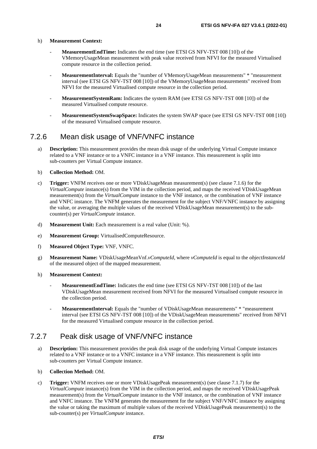<span id="page-23-0"></span>h) **Measurement Context:**

- **MeasurementEndTime:** Indicates the end time (see ETSI GS NFV-TST 008 [\[10](#page-5-0)]) of the VMemoryUsageMean measurement with peak value received from NFVI for the measured Virtualised compute resource in the collection period.
- **MeasurementInterval:** Equals the "number of VMemoryUsageMean measurements" \* "measurement interval (see ETSI GS NFV-TST 008 [\[10](#page-5-0)]) of the VMemoryUsageMean measurements" received from NFVI for the measured Virtualised compute resource in the collection period.
- **MeasurementSystemRam:** Indicates the system RAM (see ETSI GS NFV-TST 008 [[10\]](#page-5-0)) of the measured Virtualised compute resource.
- **MeasurementSystemSwapSpace:** Indicates the system SWAP space (see ETSI GS NFV-TST 008 [\[10](#page-5-0)]) of the measured Virtualised compute resource.

#### 7.2.6 Mean disk usage of VNF/VNFC instance

a) **Description:** This measurement provides the mean disk usage of the underlying Virtual Compute instance related to a VNF instance or to a VNFC instance in a VNF instance. This measurement is split into sub-counters per Virtual Compute instance.

#### b) **Collection Method:** OM.

- c) **Trigger:** VNFM receives one or more VDiskUsageMean measurement(s) (see clause 7.1.6) for the *VirtualCompute* instance(s) from the VIM in the collection period, and maps the received VDiskUsageMean measurement(s) from the *VirtualCompute* instance to the VNF instance, or the combination of VNF instance and VNFC instance. The VNFM generates the measurement for the subject VNF/VNFC instance by assigning the value, or averaging the multiple values of the received VDiskUsageMean measurement(s) to the subcounter(s) per *VirtualCompute* instance.
- d) **Measurement Unit:** Each measurement is a real value (Unit: %).
- e) **Measurement Group:** VirtualisedComputeResource.
- f) **Measured Object Type:** VNF, VNFC.
- g) **Measurement Name:** VDiskUsageMeanVnf.*vComputeId*, where *vComputeId* is equal to the *objectInstanceId* of the measured object of the mapped measurement.
- h) **Measurement Context:**
	- **MeasurementEndTime:** Indicates the end time (see ETSI GS NFV-TST 008 [\[10](#page-5-0)]) of the last VDiskUsageMean measurement received from NFVI for the measured Virtualised compute resource in the collection period.
	- **MeasurementInterval:** Equals the "number of VDiskUsageMean measurements" \* "measurement interval (see ETSI GS NFV-TST 008 [\[10](#page-5-0)]) of the VDiskUsageMean measurements" received from NFVI for the measured Virtualised compute resource in the collection period.

#### 7.2.7 Peak disk usage of VNF/VNFC instance

a) **Description:** This measurement provides the peak disk usage of the underlying Virtual Compute instances related to a VNF instance or to a VNFC instance in a VNF instance. This measurement is split into sub-counters per Virtual Compute instance.

#### b) **Collection Method:** OM.

c) **Trigger:** VNFM receives one or more VDiskUsagePeak measurement(s) (see clause 7.1.7) for the *VirtualCompute* instance(s) from the VIM in the collection period, and maps the received VDiskUsagePeak measurement(s) from the *VirtualCompute* instance to the VNF instance, or the combination of VNF instance and VNFC instance. The VNFM generates the measurement for the subject VNF/VNFC instance by assigning the value or taking the maximum of multiple values of the received VDiskUsagePeak measurement(s) to the sub-counter(s) per *VirtualCompute* instance.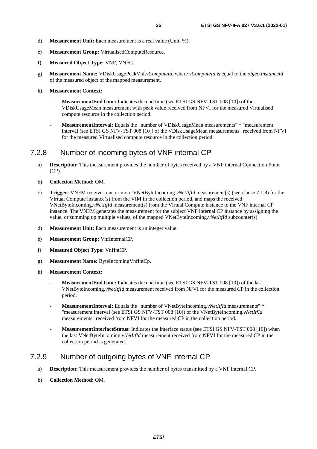- <span id="page-24-0"></span>d) **Measurement Unit:** Each measurement is a real value (Unit: %).
- e) **Measurement Group:** VirtualisedComputeResource.
- f) **Measured Object Type:** VNF, VNFC.
- g) **Measurement Name:** VDiskUsagePeakVnf.*vComputeId*, where *vComputeId* is equal to the *objectInstanceId* of the measured object of the mapped measurement.

#### h) **Measurement Context:**

- **MeasurementEndTime:** Indicates the end time (see ETSI GS NFV-TST 008 [\[10](#page-5-0)]) of the VDiskUsageMean measurement with peak value received from NFVI for the measured Virtualised compute resource in the collection period.
- **MeasurementInterval:** Equals the "number of VDiskUsageMean measurements" \* "measurement interval (see ETSI GS NFV-TST 008 [\[10](#page-5-0)]) of the VDiskUsageMean measurements" received from NFVI for the measured Virtualised compute resource in the collection period.

#### 7.2.8 Number of incoming bytes of VNF internal CP

- a) **Description:** This measurement provides the number of bytes received by a VNF internal Connection Point (CP).
- b) **Collection Method:** OM.
- c) **Trigger:** VNFM receives one or more VNetByteIncoming.*vNetItfId* measurement(s) (see clause 7.1.8) for the Virtual Compute instance(s) from the VIM in the collection period, and maps the received VNetByteIncoming.*vNetItfId* measurement(s) from the Virtual Compute instance to the VNF internal CP instance. The VNFM generates the measurement for the subject VNF internal CP instance by assigning the value, or summing up multiple values, of the mapped VNetByteIncoming.*vNetItfId* subcounter(s).
- d) **Measurement Unit:** Each measurement is an integer value.
- e) **Measurement Group:** VnfInternalCP.
- f) **Measured Object Type:** VnfIntCP.
- g) **Measurement Name:** ByteIncomingVnfIntCp.
- h) **Measurement Context:**
	- **MeasurementEndTime:** Indicates the end time (see ETSI GS NFV-TST 008 [\[10](#page-5-0)]) of the last VNetByteIncoming.*vNetItfId* measurement received from NFVI for the measured CP in the collection period.
	- **MeasurementInterval:** Equals the "number of VNetByteIncoming.*vNetItfId* measurements" \* "measurement interval (see ETSI GS NFV-TST 008 [\[10\]](#page-5-0)) of the VNetByteIncoming.*vNetItfId* measurements" received from NFVI for the measured CP in the collection period.
	- **MeasurementInterfaceStatus:** Indicates the interface status (see ETSI GS NFV-TST 008 [\[10](#page-5-0)]) when the last VNetByteIncoming.*vNetItfId* measurement received from NFVI for the measured CP in the collection period is generated.

#### 7.2.9 Number of outgoing bytes of VNF internal CP

- a) **Description:** This measurement provides the number of bytes transmitted by a VNF internal CP.
- b) **Collection Method:** OM.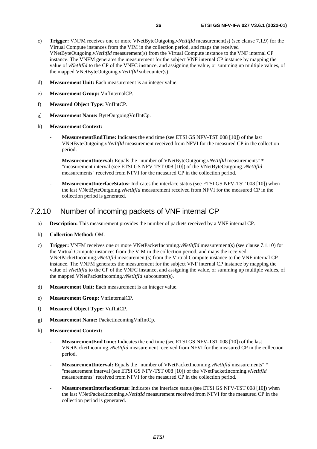- <span id="page-25-0"></span>c) **Trigger:** VNFM receives one or more VNetByteOutgoing.*vNetItfId* measurement(s) (see clause 7.1.9) for the Virtual Compute instances from the VIM in the collection period, and maps the received VNetByteOutgoing.*vNetItfId* measurement(s) from the Virtual Compute instance to the VNF internal CP instance. The VNFM generates the measurement for the subject VNF internal CP instance by mapping the value of *vNetItfId* to the CP of the VNFC instance, and assigning the value, or summing up multiple values, of the mapped VNetByteOutgoing.*vNetItfId* subcounter(s).
- d) **Measurement Unit:** Each measurement is an integer value.
- e) **Measurement Group:** VnfInternalCP.
- f) **Measured Object Type:** VnfIntCP.
- g) **Measurement Name:** ByteOutgoingVnfIntCp.
- h) **Measurement Context:**
	- MeasurementEndTime: Indicates the end time (see ETSI GS NFV-TST 008 [\[10](#page-5-0)]) of the last VNetByteOutgoing.*vNetItfId* measurement received from NFVI for the measured CP in the collection period.
	- **MeasurementInterval:** Equals the "number of VNetByteOutgoing.*vNetItfId* measurements" \* "measurement interval (see ETSI GS NFV-TST 008 [\[10](#page-5-0)]) of the VNetByteOutgoing.*vNetItfId* measurements" received from NFVI for the measured CP in the collection period.
	- **MeasurementInterfaceStatus:** Indicates the interface status (see ETSI GS NFV-TST 008 [\[10](#page-5-0)]) when the last VNetByteOutgoing.*vNetItfId* measurement received from NFVI for the measured CP in the collection period is generated.

#### 7.2.10 Number of incoming packets of VNF internal CP

- a) **Description:** This measurement provides the number of packets received by a VNF internal CP.
- b) **Collection Method:** OM.
- c) **Trigger:** VNFM receives one or more VNetPacketIncoming.*vNetItfId* measurement(s) (see clause 7.1.10) for the Virtual Compute instances from the VIM in the collection period, and maps the received VNetPacketIncoming*.vNetItfId* measurement(s) from the Virtual Compute instance to the VNF internal CP instance. The VNFM generates the measurement for the subject VNF internal CP instance by mapping the value of *vNetItfId* to the CP of the VNFC instance, and assigning the value, or summing up multiple values, of the mapped VNetPacketIncoming*.vNetItfId* subcounter(s).
- d) **Measurement Unit:** Each measurement is an integer value.
- e) **Measurement Group:** VnfInternalCP.
- f) **Measured Object Type:** VnfIntCP.
- g) **Measurement Name:** PacketIncomingVnfIntCp.
- h) **Measurement Context:**
	- **MeasurementEndTime:** Indicates the end time (see ETSI GS NFV-TST 008 [\[10](#page-5-0)]) of the last VNetPacketIncoming.*vNetItfId* measurement received from NFVI for the measured CP in the collection period.
	- **MeasurementInterval:** Equals the "number of VNetPacketIncoming.*vNetItfId* measurements" \* "measurement interval (see ETSI GS NFV-TST 008 [[10\]](#page-5-0)) of the VNetPacketIncoming.*vNetItfId* measurements" received from NFVI for the measured CP in the collection period.
	- **MeasurementInterfaceStatus:** Indicates the interface status (see ETSI GS NFV-TST 008 [\[10](#page-5-0)]) when the last VNetPacketIncoming.*vNetItfId* measurement received from NFVI for the measured CP in the collection period is generated.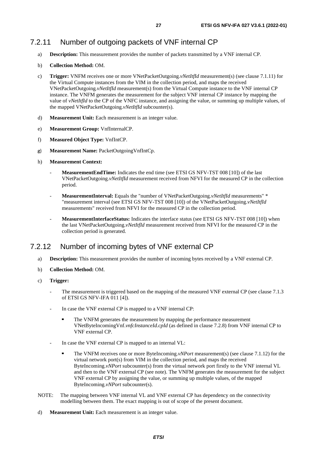### <span id="page-26-0"></span>7.2.11 Number of outgoing packets of VNF internal CP

- a) **Description:** This measurement provides the number of packets transmitted by a VNF internal CP.
- b) **Collection Method:** OM.
- c) **Trigger:** VNFM receives one or more VNetPacketOutgoing.*vNetItfId* measurement(s) (see clause 7.1.11) for the Virtual Compute instances from the VIM in the collection period, and maps the received VNetPacketOutgoing*.vNetItfId* measurement(s) from the Virtual Compute instance to the VNF internal CP instance. The VNFM generates the measurement for the subject VNF internal CP instance by mapping the value of *vNetItfId* to the CP of the VNFC instance, and assigning the value, or summing up multiple values, of the mapped VNetPacketOutgoing.*vNetItfId* subcounter(s).
- d) **Measurement Unit:** Each measurement is an integer value.
- e) **Measurement Group:** VnfInternalCP.
- f) **Measured Object Type:** VnfIntCP.
- g) **Measurement Name:** PacketOutgoingVnfIntCp.
- h) **Measurement Context:**
	- **MeasurementEndTime:** Indicates the end time (see ETSI GS NFV-TST 008 [\[10](#page-5-0)]) of the last VNetPacketOutgoing.*vNetItfId* measurement received from NFVI for the measured CP in the collection period.
	- **MeasurementInterval:** Equals the "number of VNetPacketOutgoing.*vNetItfId* measurements" \* "measurement interval (see ETSI GS NFV-TST 008 [\[10\]](#page-5-0)) of the VNetPacketOutgoing.*vNetItfId* measurements" received from NFVI for the measured CP in the collection period.
	- **MeasurementInterfaceStatus:** Indicates the interface status (see ETSI GS NFV-TST 008 [\[10](#page-5-0)]) when the last VNetPacketOutgoing.*vNetItfId* measurement received from NFVI for the measured CP in the collection period is generated.

#### 7.2.12 Number of incoming bytes of VNF external CP

- a) **Description:** This measurement provides the number of incoming bytes received by a VNF external CP.
- b) **Collection Method:** OM.
- c) **Trigger:**
	- The measurement is triggered based on the mapping of the measured VNF external CP (see clause 7.1.3) of ETSI GS NFV-IFA 011 [\[4\]](#page-5-0)).
	- In case the VNF external CP is mapped to a VNF internal CP:
		- The VNFM generates the measurement by mapping the performance measurement VNetByteIncomingVnf.*vnfcInstanceId.cpId* (as defined in clause 7.2.8) from VNF internal CP to VNF external CP.
	- In case the VNF external CP is mapped to an internal VL:
		- The VNFM receives one or more ByteIncoming.*vNPort* measurement(s) (see clause 7.1.12) for the virtual network port(s) from VIM in the collection period, and maps the received ByteIncoming.*vNPort* subcounter(s) from the virtual network port firstly to the VNF internal VL and then to the VNF external CP (see note). The VNFM generates the measurement for the subject VNF external CP by assigning the value, or summing up multiple values, of the mapped ByteIncoming.*vNPort* subcounter(s).
- NOTE: The mapping between VNF internal VL and VNF external CP has dependency on the connectivity modelling between them. The exact mapping is out of scope of the present document.
- d) **Measurement Unit:** Each measurement is an integer value.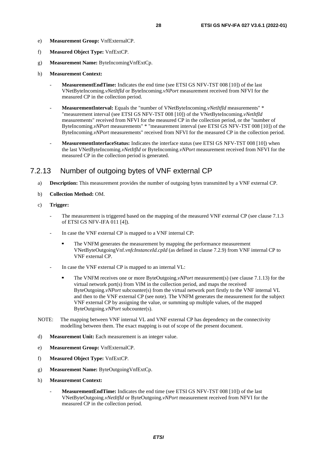- <span id="page-27-0"></span>e) **Measurement Group:** VnfExternalCP.
- f) **Measured Object Type:** VnfExtCP.
- g) **Measurement Name:** ByteIncomingVnfExtCp.
- h) **Measurement Context:**
	- MeasurementEndTime: Indicates the end time (see ETSI GS NFV-TST 008 [\[10](#page-5-0)]) of the last VNetByteIncoming.*vNetItfId* or ByteIncoming.*vNPort* measurement received from NFVI for the measured CP in the collection period.
	- **MeasurementInterval:** Equals the "number of VNetByteIncoming.*vNetItfId* measurements" \* "measurement interval (see ETSI GS NFV-TST 008 [\[10\]](#page-5-0)) of the VNetByteIncoming.*vNetItfId* measurements" received from NFVI for the measured CP in the collection period, or the "number of ByteIncoming.*vNPort* measurements" \* "measurement interval (see ETSI GS NFV-TST 008 [\[10\]](#page-5-0)) of the ByteIncoming.*vNPort* measurements" received from NFVI for the measured CP in the collection period.
	- **MeasurementInterfaceStatus:** Indicates the interface status (see ETSI GS NFV-TST 008 [\[10](#page-5-0)]) when the last VNetByteIncoming.*vNetItfId* or ByteIncoming.*vNPort* measurement received from NFVI for the measured CP in the collection period is generated.

### 7.2.13 Number of outgoing bytes of VNF external CP

- a) **Description:** This measurement provides the number of outgoing bytes transmitted by a VNF external CP.
- b) **Collection Method:** OM.
- c) **Trigger:**
	- The measurement is triggered based on the mapping of the measured VNF external CP (see clause 7.1.3 of ETSI GS NFV-IFA 011 [\[4\]](#page-5-0)).
	- In case the VNF external CP is mapped to a VNF internal CP:
		- The VNFM generates the measurement by mapping the performance measurement VNetByteOutgoingVnf.*vnfcInstanceId.cpId* (as defined in clause 7.2.9) from VNF internal CP to VNF external CP.
	- In case the VNF external CP is mapped to an internal VL:
		- The VNFM receives one or more ByteOutgoing.*vNPort* measurement(s) (see clause 7.1.13) for the virtual network port(s) from VIM in the collection period, and maps the received ByteOutgoing.*vNPort* subcounter(s) from the virtual network port firstly to the VNF internal VL and then to the VNF external CP (see note). The VNFM generates the measurement for the subject VNF external CP by assigning the value, or summing up multiple values, of the mapped ByteOutgoing.*vNPort* subcounter(s).
- NOTE: The mapping between VNF internal VL and VNF external CP has dependency on the connectivity modelling between them. The exact mapping is out of scope of the present document.
- d) **Measurement Unit:** Each measurement is an integer value.
- e) **Measurement Group:** VnfExternalCP.
- f) **Measured Object Type:** VnfExtCP.
- g) **Measurement Name:** ByteOutgoingVnfExtCp.
- h) **Measurement Context:**
	- **MeasurementEndTime:** Indicates the end time (see ETSI GS NFV-TST 008 [\[10](#page-5-0)]) of the last VNetByteOutgoing.*vNetItfId* or ByteOutgoing.*vNPort* measurement received from NFVI for the measured CP in the collection period.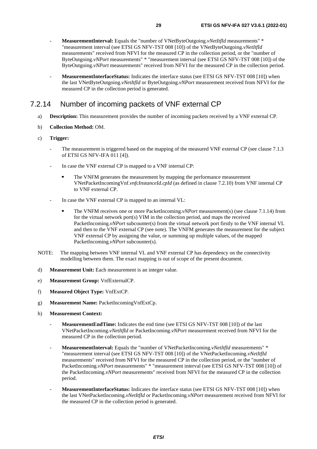- <span id="page-28-0"></span>- **MeasurementInterval:** Equals the "number of VNetByteOutgoing.*vNetItfId* measurements" \* "measurement interval (see ETSI GS NFV-TST 008 [\[10](#page-5-0)]) of the VNetByteOutgoing.*vNetItfId* measurements" received from NFVI for the measured CP in the collection period, or the "number of ByteOutgoing.*vNPort* measurements" \* "measurement interval (see ETSI GS NFV-TST 008 [[10\]](#page-5-0)) of the ByteOutgoing.*vNPort* measurements" received from NFVI for the measured CP in the collection period.
- **MeasurementInterfaceStatus:** Indicates the interface status (see ETSI GS NFV-TST 008 [\[10](#page-5-0)]) when the last VNetByteOutgoing.*vNetItfId* or ByteOutgoing.*vNPort* measurement received from NFVI for the measured CP in the collection period is generated.

### 7.2.14 Number of incoming packets of VNF external CP

- a) **Description:** This measurement provides the number of incoming packets received by a VNF external CP.
- b) **Collection Method:** OM.
- c) **Trigger:**
	- The measurement is triggered based on the mapping of the measured VNF external CP (see clause 7.1.3) of ETSI GS NFV-IFA 011 [\[4\]](#page-5-0)).
	- In case the VNF external CP is mapped to a VNF internal CP:
		- The VNFM generates the measurement by mapping the performance measurement VNetPacketIncomingVnf.*vnfcInstanceId.cpId* (as defined in clause 7.2.10) from VNF internal CP to VNF external CP.
	- In case the VNF external CP is mapped to an internal VL:
		- The VNFM receives one or more PacketIncoming.*vNPort* measurement(s) (see clause 7.1.14) from for the virtual network port(s) VIM in the collection period, and maps the received PacketIncoming.*vNPort* subcounter(s) from the virtual network port firstly to the VNF internal VL and then to the VNF external CP (see note). The VNFM generates the measurement for the subject VNF external CP by assigning the value, or summing up multiple values, of the mapped PacketIncoming.*vNPort* subcounter(s).
- NOTE: The mapping between VNF internal VL and VNF external CP has dependency on the connectivity modelling between them. The exact mapping is out of scope of the present document.
- d) **Measurement Unit:** Each measurement is an integer value.
- e) **Measurement Group:** VnfExternalCP.
- f) **Measured Object Type:** VnfExtCP.
- g) **Measurement Name:** PacketIncomingVnfExtCp.
- h) **Measurement Context:**
	- **MeasurementEndTime:** Indicates the end time (see ETSI GS NFV-TST 008 [\[10](#page-5-0)]) of the last VNetPacketIncoming.*vNetItfId* or PacketIncoming.*vNPort* measurement received from NFVI for the measured CP in the collection period.
	- **MeasurementInterval:** Equals the "number of VNetPacketIncoming.*vNetItfId* measurements" \* "measurement interval (see ETSI GS NFV-TST 008 [[10\]](#page-5-0)) of the VNetPacketIncoming.*vNetItfId* measurements" received from NFVI for the measured CP in the collection period, or the "number of PacketIncoming.*vNPort* measurements" \* "measurement interval (see ETSI GS NFV-TST 008 [\[10](#page-5-0)]) of the PacketIncoming.*vNPort* measurements" received from NFVI for the measured CP in the collection period.
	- **MeasurementInterfaceStatus:** Indicates the interface status (see ETSI GS NFV-TST 008 [\[10](#page-5-0)]) when the last VNetPacketIncoming.*vNetItfId* or PacketIncoming.*vNPort* measurement received from NFVI for the measured CP in the collection period is generated.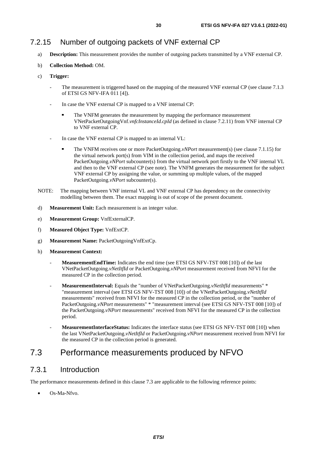- <span id="page-29-0"></span>a) **Description:** This measurement provides the number of outgoing packets transmitted by a VNF external CP.
- b) **Collection Method:** OM.
- c) **Trigger:**
	- The measurement is triggered based on the mapping of the measured VNF external CP (see clause 7.1.3) of ETSI GS NFV-IFA 011 [\[4\]](#page-5-0)).
	- In case the VNF external CP is mapped to a VNF internal CP:
		- The VNFM generates the measurement by mapping the performance measurement<br>VNetPacketOutgoingVnf.*vnfcInstanceId.cpId* (as defined in clause 7.2.11) from VNF internal CP to VNF external CP.
	- In case the VNF external CP is mapped to an internal VL:
		- The VNFM receives one or more PacketOutgoing.*vNPort* measurement(s) (see clause 7.1.15) for the virtual network port(s) from VIM in the collection period, and maps the received PacketOutgoing.*vNPort* subcounter(s) from the virtual network port firstly to the VNF internal VL and then to the VNF external CP (see note). The VNFM generates the measurement for the subject VNF external CP by assigning the value, or summing up multiple values, of the mapped PacketOutgoing.*vNPort* subcounter(s).
- NOTE: The mapping between VNF internal VL and VNF external CP has dependency on the connectivity modelling between them. The exact mapping is out of scope of the present document.
- d) **Measurement Unit:** Each measurement is an integer value.
- e) **Measurement Group:** VnfExternalCP.
- f) **Measured Object Type:** VnfExtCP.
- g) **Measurement Name:** PacketOutgoingVnfExtCp.
- h) **Measurement Context:**
	- **MeasurementEndTime:** Indicates the end time (see ETSI GS NFV-TST 008 [\[10](#page-5-0)]) of the last VNetPacketOutgoing.*vNetItfId* or PacketOutgoing.*vNPort* measurement received from NFVI for the measured CP in the collection period.
	- **MeasurementInterval:** Equals the "number of VNetPacketOutgoing.*vNetItfId* measurements" \* "measurement interval (see ETSI GS NFV-TST 008 [\[10\]](#page-5-0)) of the VNetPacketOutgoing.*vNetItfId* measurements" received from NFVI for the measured CP in the collection period, or the "number of PacketOutgoing.*vNPort* measurements" \* "measurement interval (see ETSI GS NFV-TST 008 [\[10\]](#page-5-0)) of the PacketOutgoing.*vNPort* measurements" received from NFVI for the measured CP in the collection period.
	- **MeasurementInterfaceStatus:** Indicates the interface status (see ETSI GS NFV-TST 008 [\[10](#page-5-0)]) when the last VNetPacketOutgoing.*vNetItfId* or PacketOutgoing.*vNPort* measurement received from NFVI for the measured CP in the collection period is generated.

# 7.3 Performance measurements produced by NFVO

### 7.3.1 Introduction

The performance measurements defined in this clause 7.3 are applicable to the following reference points:

Os-Ma-Nfvo.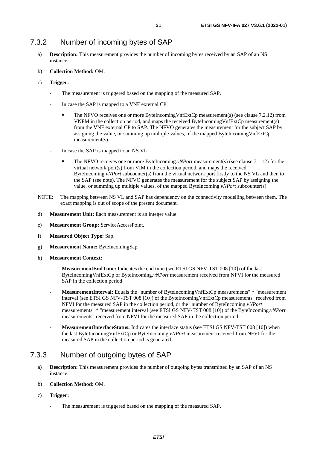### <span id="page-30-0"></span>7.3.2 Number of incoming bytes of SAP

- a) **Description:** This measurement provides the number of incoming bytes received by an SAP of an NS instance.
- b) **Collection Method:** OM.
- c) **Trigger:**
	- The measurement is triggered based on the mapping of the measured SAP.
	- In case the SAP is mapped to a VNF external CP:
		- The NFVO receives one or more ByteIncomingVnfExtCp measurement(s) (see clause 7.2.12) from VNFM in the collection period, and maps the received ByteIncomingVnfExtCp measurement(s) from the VNF external CP to SAP. The NFVO generates the measurement for the subject SAP by assigning the value, or summing up multiple values, of the mapped ByteIncomingVnfExtCp measurement(s).
	- In case the SAP is mapped to an NS VL:
		- The NFVO receives one or more ByteIncoming.*vNPort* measurement(s) (see clause 7.1.12) for the virtual network port(s) from VIM in the collection period, and maps the received ByteIncoming.*vNPort* subcounter(s) from the virtual network port firstly to the NS VL and then to the SAP (see note). The NFVO generates the measurement for the subject SAP by assigning the value, or summing up multiple values, of the mapped ByteIncoming.*vNPort* subcounter(s).
- NOTE: The mapping between NS VL and SAP has dependency on the connectivity modelling between them. The exact mapping is out of scope of the present document.
- d) **Measurement Unit:** Each measurement is an integer value.
- e) **Measurement Group:** ServiceAccessPoint.
- f) **Measured Object Type:** Sap.
- g) **Measurement Name:** ByteIncomingSap.
- h) **Measurement Context:**
	- **MeasurementEndTime:** Indicates the end time (see ETSI GS NFV-TST 008 [\[10](#page-5-0)]) of the last ByteIncomingVnfExtCp or ByteIncoming.*vNPort* measurement received from NFVI for the measured SAP in the collection period.
	- **MeasurementInterval:** Equals the "number of ByteIncomingVnfExtCp measurements" \* "measurement interval (see ETSI GS NFV-TST 008 [\[10](#page-5-0)]) of the ByteIncomingVnfExtCp measurements" received from NFVI for the measured SAP in the collection period, or the "number of ByteIncoming.*vNPort* measurements" \* "measurement interval (see ETSI GS NFV-TST 008 [\[10](#page-5-0)]) of the ByteIncoming.*vNPort* measurements" received from NFVI for the measured SAP in the collection period.
	- **MeasurementInterfaceStatus:** Indicates the interface status (see ETSI GS NFV-TST 008 [\[10](#page-5-0)]) when the last ByteIncomingVnfExtCp or ByteIncoming.*vNPort* measurement received from NFVI for the measured SAP in the collection period is generated.

#### 7.3.3 Number of outgoing bytes of SAP

- a) **Description:** This measurement provides the number of outgoing bytes transmitted by an SAP of an NS instance.
- b) **Collection Method:** OM.
- c) **Trigger:**
	- The measurement is triggered based on the mapping of the measured SAP.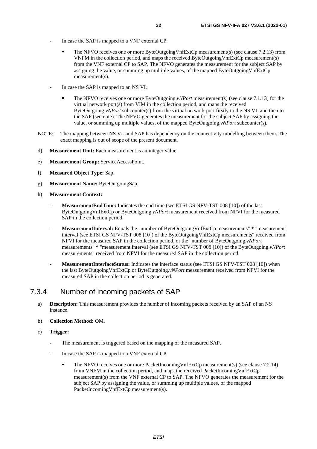- <span id="page-31-0"></span>In case the SAP is mapped to a VNF external CP:
	- The NFVO receives one or more ByteOutgoingVnfExtCp measurement(s) (see clause 7.2.13) from VNFM in the collection period, and maps the received ByteOutgoingVnfExtCp measurement(s) from the VNF external CP to SAP. The NFVO generates the measurement for the subject SAP by assigning the value, or summing up multiple values, of the mapped ByteOutgoingVnfExtCp measurement(s).
- In case the SAP is mapped to an NS VL:
	- The NFVO receives one or more ByteOutgoing.*vNPort* measurement(s) (see clause 7.1.13) for the virtual network port(s) from VIM in the collection period, and maps the received ByteOutgoing.*vNPort* subcounter(s) from the virtual network port firstly to the NS VL and then to the SAP (see note). The NFVO generates the measurement for the subject SAP by assigning the value, or summing up multiple values, of the mapped ByteOutgoing.*vNPort* subcounter(s).
- NOTE: The mapping between NS VL and SAP has dependency on the connectivity modelling between them. The exact mapping is out of scope of the present document.
- d) **Measurement Unit:** Each measurement is an integer value.
- e) **Measurement Group:** ServiceAccessPoint.
- f) **Measured Object Type:** Sap.
- g) **Measurement Name:** ByteOutgoingSap.
- h) **Measurement Context:**
	- **MeasurementEndTime:** Indicates the end time (see ETSI GS NFV-TST 008 [\[10](#page-5-0)]) of the last ByteOutgoingVnfExtCp or ByteOutgoing.*vNPort* measurement received from NFVI for the measured SAP in the collection period.
	- **MeasurementInterval:** Equals the "number of ByteOutgoingVnfExtCp measurements" \* "measurement interval (see ETSI GS NFV-TST 008 [\[10](#page-5-0)]) of the ByteOutgoingVnfExtCp measurements" received from NFVI for the measured SAP in the collection period, or the "number of ByteOutgoing.*vNPort* measurements" \* "measurement interval (see ETSI GS NFV-TST 008 [\[10](#page-5-0)]) of the ByteOutgoing.*vNPort* measurements" received from NFVI for the measured SAP in the collection period.
	- **MeasurementInterfaceStatus:** Indicates the interface status (see ETSI GS NFV-TST 008 [\[10](#page-5-0)]) when the last ByteOutgoingVnfExtCp or ByteOutgoing.*vNPort* measurement received from NFVI for the measured SAP in the collection period is generated.

#### 7.3.4 Number of incoming packets of SAP

- a) **Description:** This measurement provides the number of incoming packets received by an SAP of an NS instance.
- b) **Collection Method:** OM.
- c) **Trigger:**
	- The measurement is triggered based on the mapping of the measured SAP.
	- In case the SAP is mapped to a VNF external CP:
		- The NFVO receives one or more PacketIncomingVnfExtCp measurement(s) (see clause 7.2.14) from VNFM in the collection period, and maps the received PacketIncomingVnfExtCp measurement(s) from the VNF external CP to SAP. The NFVO generates the measurement for the subject SAP by assigning the value, or summing up multiple values, of the mapped PacketIncomingVnfExtCp measurement(s).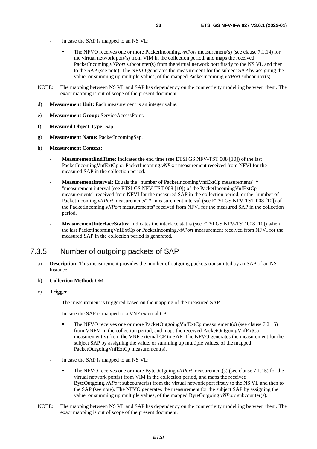- <span id="page-32-0"></span>In case the SAP is mapped to an NS VL:
	- The NFVO receives one or more PacketIncoming.*vNPort* measurement(s) (see clause 7.1.14) for the virtual network port(s) from VIM in the collection period, and maps the received PacketIncoming.*vNPort* subcounter(s) from the virtual network port firstly to the NS VL and then to the SAP (see note). The NFVO generates the measurement for the subject SAP by assigning the value, or summing up multiple values, of the mapped PacketIncoming.*vNPort* subcounter(s).
- NOTE: The mapping between NS VL and SAP has dependency on the connectivity modelling between them. The exact mapping is out of scope of the present document.
- d) **Measurement Unit:** Each measurement is an integer value.
- e) **Measurement Group:** ServiceAccessPoint.
- f) **Measured Object Type:** Sap.
- g) **Measurement Name:** PacketIncomingSap.
- h) **Measurement Context:**
	- **MeasurementEndTime:** Indicates the end time (see ETSI GS NFV-TST 008 [\[10](#page-5-0)]) of the last PacketIncomingVnfExtCp or PacketIncoming.*vNPort* measurement received from NFVI for the measured SAP in the collection period.
	- **MeasurementInterval:** Equals the "number of PacketIncomingVnfExtCp measurements" \* "measurement interval (see ETSI GS NFV-TST 008 [\[10](#page-5-0)]) of the PacketIncomingVnfExtCp measurements" received from NFVI for the measured SAP in the collection period, or the "number of PacketIncoming.*vNPort* measurements" \* "measurement interval (see ETSI GS NFV-TST 008 [\[10](#page-5-0)]) of the PacketIncoming.*vNPort* measurements" received from NFVI for the measured SAP in the collection period.
	- **MeasurementInterfaceStatus:** Indicates the interface status (see ETSI GS NFV-TST 008 [\[10](#page-5-0)]) when the last PacketIncomingVnfExtCp or PacketIncoming.*vNPort* measurement received from NFVI for the measured SAP in the collection period is generated.

### 7.3.5 Number of outgoing packets of SAP

- a) **Description:** This measurement provides the number of outgoing packets transmitted by an SAP of an NS instance.
- b) **Collection Method:** OM.
- c) **Trigger:**
	- The measurement is triggered based on the mapping of the measured SAP.
	- In case the SAP is mapped to a VNF external CP:
		- The NFVO receives one or more PacketOutgoingVnfExtCp measurement(s) (see clause 7.2.15) from VNFM in the collection period, and maps the received PacketOutgoingVnfExtCp measurement(s) from the VNF external CP to SAP. The NFVO generates the measurement for the subject SAP by assigning the value, or summing up multiple values, of the mapped PacketOutgoingVnfExtCp measurement(s).
	- In case the SAP is mapped to an NS VL:
		- The NFVO receives one or more ByteOutgoing.*vNPort* measurement(s) (see clause 7.1.15) for the virtual network port(s) from VIM in the collection period, and maps the received ByteOutgoing.*vNPort* subcounter(s) from the virtual network port firstly to the NS VL and then to the SAP (see note). The NFVO generates the measurement for the subject SAP by assigning the value, or summing up multiple values, of the mapped ByteOutgoing.*vNPort* subcounter(s).
- NOTE: The mapping between NS VL and SAP has dependency on the connectivity modelling between them. The exact mapping is out of scope of the present document.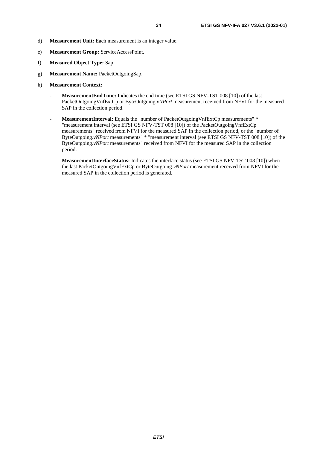- d) **Measurement Unit:** Each measurement is an integer value.
- e) **Measurement Group:** ServiceAccessPoint.
- f) **Measured Object Type:** Sap.
- g) **Measurement Name:** PacketOutgoingSap.
- h) **Measurement Context:**
	- **MeasurementEndTime:** Indicates the end time (see ETSI GS NFV-TST 008 [\[10](#page-5-0)]) of the last PacketOutgoingVnfExtCp or ByteOutgoing.*vNPort* measurement received from NFVI for the measured SAP in the collection period.
	- MeasurementInterval: Equals the "number of PacketOutgoingVnfExtCp measurements" \* "measurement interval (see ETSI GS NFV-TST 008 [\[10\]](#page-5-0)) of the PacketOutgoingVnfExtCp measurements" received from NFVI for the measured SAP in the collection period, or the "number of ByteOutgoing.*vNPort* measurements" \* "measurement interval (see ETSI GS NFV-TST 008 [[10\]](#page-5-0)) of the ByteOutgoing.*vNPort* measurements" received from NFVI for the measured SAP in the collection period.
	- MeasurementInterfaceStatus: Indicates the interface status (see ETSI GS NFV-TST 008 [\[10](#page-5-0)]) when the last PacketOutgoingVnfExtCp or ByteOutgoing.*vNPort* measurement received from NFVI for the measured SAP in the collection period is generated.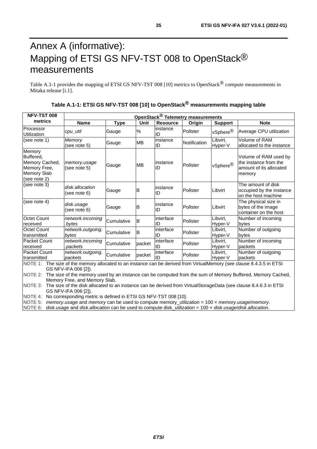# <span id="page-34-0"></span>Annex A (informative): Mapping of ETSI GS NFV-TST 008 to OpenStack<sup>®</sup> measurements

Table A.1-1 provides the mapping of ETSI GS NFV-TST 008 [[10\]](#page-5-0) metrics to OpenStack<sup>®</sup> compute measurements in Mitaka release [\[i.1](#page-6-0)].

| Table A.1-1: ETSI GS NFV-TST 008 [10] to OpenStack <sup>®</sup> measurements mapping table |  |
|--------------------------------------------------------------------------------------------|--|
|--------------------------------------------------------------------------------------------|--|

| <b>NFV-TST 008</b>                                                                                                    | OpenStack <sup>®</sup> Telemetry measurements |             |           |                 |              |                      |                                                                                     |
|-----------------------------------------------------------------------------------------------------------------------|-----------------------------------------------|-------------|-----------|-----------------|--------------|----------------------|-------------------------------------------------------------------------------------|
| metrics                                                                                                               | <b>Name</b>                                   | <b>Type</b> | Unit      | <b>Resource</b> | Origin       | <b>Support</b>       | <b>Note</b>                                                                         |
| Processor<br>Utilization                                                                                              | cpu_util                                      | Gauge       | %         | instance<br>ID  | Pollster     | vSphere <sup>®</sup> | Average CPU utilization                                                             |
| (see note 1)                                                                                                          | Memory<br>(see note 5)                        | Gauge       | <b>MB</b> | instance<br>ID  | Notification | Libvirt,<br>Hyper-V  | Volume of RAM<br>allocated to the instance                                          |
| Memory<br>Buffered,<br>Memory Cached,<br>Memory Free,<br>Memory Slab<br>(see note 2)                                  | memory.usage<br>(see note 5)                  | Gauge       | <b>MB</b> | linstance<br>ID | Pollster     | vSphere <sup>®</sup> | Volume of RAM used by<br>the instance from the<br>amount of its allocated<br>memory |
| (see note 3)                                                                                                          | disk.allocation<br>(see note 6)               | Gauge       | B         | instance<br>ID  | Pollster     | Libvirt              | The amount of disk<br>occupied by the instance<br>on the host machine               |
| (see note 4)                                                                                                          | disk.usage<br>(see note 6)                    | Gauge       | B         | linstance<br>ID | Pollster     | Libvirt              | The physical size in<br>bytes of the image<br>container on the host                 |
| Octet Count<br>received                                                                                               | network.incoming<br>bytes                     | Cumulative  | B         | interface<br>ID | Pollster     | Libvirt,<br>Hyper-V  | Number of incoming<br>bytes                                                         |
| Octet Count<br>transmitted                                                                                            | network.outgoing.<br>bytes                    | Cumulative  | B         | interface<br>ID | Pollster     | Libvirt,<br>Hyper-V  | Number of outgoing<br>bytes                                                         |
| Packet Count<br>received                                                                                              | network.incoming<br>.packets                  | Cumulative  | packet    | interface<br>ID | Pollster     | Libvirt,<br>Hyper-V  | Number of incoming<br>packets                                                       |
| Packet Count<br>transmitted                                                                                           | network.outgoing.<br>packets                  | Cumulative  | packet    | interface<br>ID | Pollster     | Libvirt,<br>Hyper-V  | Number of outgoing<br>packets                                                       |
| NOTE 1: The size of the memory allocated to an instance can be derived from VirtualMemory (see clause 8.4.3.5 in ETSI |                                               |             |           |                 |              |                      |                                                                                     |

GS NFV-IFA 006 [\[2](#page-5-0)]).

NOTE 2: The size of the memory used by an instance can be computed from the sum of Memory Buffered, Memory Cached, Memory Free, and Memory Slab.

NOTE 3: The size of the disk allocated to an instance can be derived from VirtualStorageData (see clause 8.4.6.3 in ETSI GS NFV-IFA 006 [\[2](#page-5-0)]).

NOTE 4: No corresponding metric is defined in ETSI GS NFV-TST 008 [\[10](#page-5-0)].

NOTE 5: *memory.usage* and *memory* can be used to compute memory\_utilization = 100 × *memory.usage*/*memory*.

NOTE 6: *disk.usage* and *disk.allocation* can be used to compute disk\_utilization = 100 × *disk.usage*/*disk.allocation*.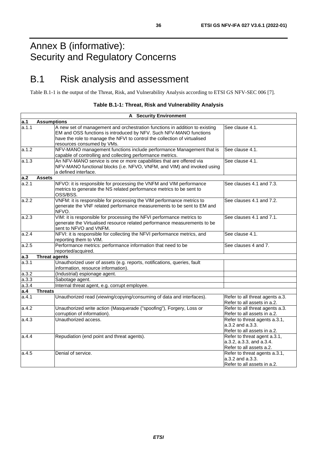# <span id="page-35-0"></span>Annex B (informative): Security and Regulatory Concerns

# B.1 Risk analysis and assessment

Table B.1-1 is the output of the Threat, Risk, and Vulnerability Analysis according to ETSI GS NFV-SEC 006 [\[7](#page-5-0)].

| Table B.1-1: Threat, Risk and Vulnerability Analysis |  |  |  |
|------------------------------------------------------|--|--|--|
|------------------------------------------------------|--|--|--|

|       | <b>A</b> Security Environment                                                                                                                                                                                                                                |                                                                                      |
|-------|--------------------------------------------------------------------------------------------------------------------------------------------------------------------------------------------------------------------------------------------------------------|--------------------------------------------------------------------------------------|
| a.1   | <b>Assumptions</b>                                                                                                                                                                                                                                           |                                                                                      |
| a.1.1 | A new set of management and orchestration functions in addition to existing<br>EM and OSS functions is introduced by NFV. Such NFV-MANO functions<br>have the role to manage the NFVI to control the collection of virtualised<br>resources consumed by VMs. | See clause 4.1.                                                                      |
| a.1.2 | NFV-MANO management functions include performance Management that is<br>capable of controlling and collecting performance metrics.                                                                                                                           | See clause 4.1.                                                                      |
| a.1.3 | An NFV-MANO service is one or more capabilities that are offered via<br>NFV-MANO functional blocks (i.e. NFVO, VNFM, and VIM) and invoked using<br>a defined interface.                                                                                      | See clause 4.1.                                                                      |
| a.2   | <b>Assets</b>                                                                                                                                                                                                                                                |                                                                                      |
| a.2.1 | NFVO: it is responsible for processing the VNFM and VIM performance<br>metrics to generate the NS related performance metrics to be sent to<br>OSS/BSS.                                                                                                      | See clauses 4.1 and 7.3.                                                             |
| a.2.2 | VNFM: it is responsible for processing the VIM performance metrics to<br>generate the VNF related performance measurements to be sent to EM and<br>NFVO.                                                                                                     | See clauses 4.1 and 7.2.                                                             |
| a.2.3 | VIM: it is responsible for processing the NFVI performance metrics to<br>generate the Virtualised resource related performance measurements to be<br>sent to NFVO and VNFM.                                                                                  | See clauses 4.1 and 7.1.                                                             |
| a.2.4 | NFVI: it is responsible for collecting the NFVI performance metrics, and<br>reporting them to VIM.                                                                                                                                                           | See clause 4.1.                                                                      |
| a.2.5 | Performance metrics: performance information that need to be<br>reported/acquired.                                                                                                                                                                           | See clauses 4 and 7.                                                                 |
| a.3   | <b>Threat agents</b>                                                                                                                                                                                                                                         |                                                                                      |
| a.3.1 | Unauthorized user of assets (e.g. reports, notifications, queries, fault<br>information, resource information).                                                                                                                                              |                                                                                      |
| a.3.2 | (Industrial) espionage agent.                                                                                                                                                                                                                                |                                                                                      |
| a.3.3 | Sabotage agent.                                                                                                                                                                                                                                              |                                                                                      |
| a.3.4 | Internal threat agent, e.g. corrupt employee.                                                                                                                                                                                                                |                                                                                      |
| a.4   | <b>Threats</b>                                                                                                                                                                                                                                               |                                                                                      |
| a.4.1 | Unauthorized read (viewing/copying/consuming of data and interfaces).                                                                                                                                                                                        | Refer to all threat agents a.3.<br>Refer to all assets in a.2.                       |
| a.4.2 | Unauthorized write action (Masquerade ("spoofing"), Forgery, Loss or<br>corruption of information).                                                                                                                                                          | Refer to all threat agents a.3.<br>Refer to all assets in a.2.                       |
| a.4.3 | Unauthorized access.                                                                                                                                                                                                                                         | Refer to threat agents a.3.1,<br>a.3.2 and a.3.3.<br>Refer to all assets in a.2.     |
| a.4.4 | Repudiation (end point and threat agents).                                                                                                                                                                                                                   | Refer to threat agent a.3.1,<br>a.3.2, a.3.3, and a.3.4.<br>Refer to all assets a.2. |
| a.4.5 | Denial of service.                                                                                                                                                                                                                                           | Refer to threat agents a.3.1,<br>a.3.2 and a.3.3.<br>Refer to all assets in a.2.     |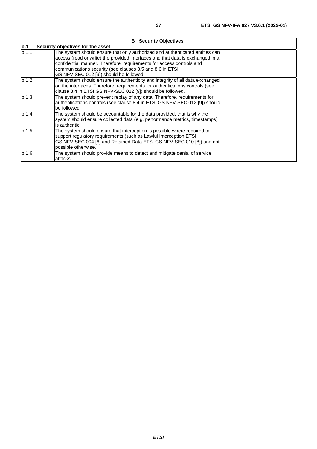|       | <b>B</b> Security Objectives                                                                                                                                                                                                                                                                                                                  |  |  |  |  |  |
|-------|-----------------------------------------------------------------------------------------------------------------------------------------------------------------------------------------------------------------------------------------------------------------------------------------------------------------------------------------------|--|--|--|--|--|
| b.1   | Security objectives for the asset                                                                                                                                                                                                                                                                                                             |  |  |  |  |  |
| b.1.1 | The system should ensure that only authorized and authenticated entities can<br>access (read or write) the provided interfaces and that data is exchanged in a<br>confidential manner. Therefore, requirements for access controls and<br>communications security (see clauses 8.5 and 8.6 in ETSI<br>GS NFV-SEC 012 [9]) should be followed. |  |  |  |  |  |
| b.1.2 | The system should ensure the authenticity and integrity of all data exchanged<br>on the interfaces. Therefore, requirements for authentications controls (see<br>clause 8.4 in ETSI GS NFV-SEC 012 [9]) should be followed.                                                                                                                   |  |  |  |  |  |
| b.1.3 | The system should prevent replay of any data. Therefore, requirements for<br>authentications controls (see clause 8.4 in ETSI GS NFV-SEC 012 [9]) should<br>be followed.                                                                                                                                                                      |  |  |  |  |  |
| b.1.4 | The system should be accountable for the data provided, that is why the<br>system should ensure collected data (e.g. performance metrics, timestamps)<br>is authentic.                                                                                                                                                                        |  |  |  |  |  |
| b.1.5 | The system should ensure that interception is possible where required to<br>support regulatory requirements (such as Lawful Interception ETSI<br>GS NFV-SEC 004 [6] and Retained Data ETSI GS NFV-SEC 010 [8]) and not<br>possible otherwise.                                                                                                 |  |  |  |  |  |
| b.1.6 | The system should provide means to detect and mitigate denial of service<br>attacks.                                                                                                                                                                                                                                                          |  |  |  |  |  |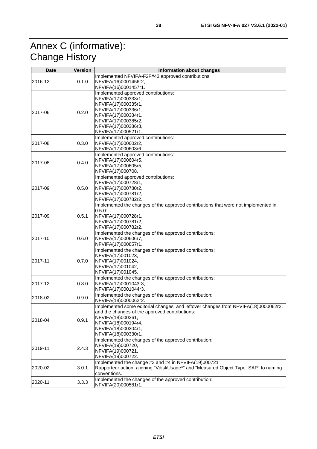# <span id="page-37-0"></span>Annex C (informative): Change History

| <b>Date</b> | <b>Version</b> | <b>Information about changes</b>                                                                                                                                                                                               |
|-------------|----------------|--------------------------------------------------------------------------------------------------------------------------------------------------------------------------------------------------------------------------------|
| 2016-12     | 0.1.0          | Implemented NFVIFA-F2F#43 approved contributions;<br>NFVIFA(16)0001456r2,<br>NFVIFA(16)0001457r1.                                                                                                                              |
| 2017-06     | 0.2.0          | Implemented approved contributions:<br>NFVIFA(17)000333r1,<br>NFVIFA(17)000335r1,<br>NFVIFA(17)000336r1,<br>NFVIFA(17)000384r1,<br>NFVIFA(17)000385r2,<br>NFVIFA(17)000386r3,<br>NFVIFA(17)000521r1.                           |
| 2017-08     | 0.3.0          | Implemented approved contributions:<br>NFVIFA(17)000602r2,<br>NFVIFA(17)000603r6.                                                                                                                                              |
| 2017-08     | 0.4.0          | Implemented approved contributions:<br>NFVIFA(17)000604r5,<br>NFVIFA(17)000605r5,<br>NFVIFA(17)000708.                                                                                                                         |
| 2017-09     | 0.5.0          | Implemented approved contributions:<br>NFVIFA(17)000728r1,<br>NFVIFA(17)000780r2,<br>NFVIFA(17)000781r2,<br>NFVIFA(17)000782r2.                                                                                                |
| 2017-09     | 0.5.1          | Implemented the changes of the approved contributions that were not implemented in<br>0.5.0<br>NFVIFA(17)000728r1,<br>NFVIFA(17)000781r2,<br>NFVIFA(17)000782r2.                                                               |
| l2017-10    | 0.6.0          | Implemented the changes of the approved contributions:<br>NFVIFA(17)000606r7,<br>NFVIFA(17)000857r1.                                                                                                                           |
| 2017-11     | 0.7.0          | Implemented the changes of the approved contributions:<br>NFVIFA(17)001023,<br>NFVIFA(17)001024,<br>NFVIFA(17)001042,<br>NFVIFA(17)001045.                                                                                     |
| 2017-12     | 0.8.0          | Implemented the changes of the approved contributions:<br>NFVIFA(17)0001043r3,<br>NFVIFA(17)0001044r3.                                                                                                                         |
| 2018-02     | 0.9.0          | Implemented the changes of the approved contribution:<br>NFVIFA(18)0000062r2.                                                                                                                                                  |
| 2018-04     | 0.9.1          | Implemented some editorial changes, and leftover changes from NFVIFA(18)0000062r2,<br>and the changes of the approved contributions:<br>NFVIFA(18)000261,<br>NFVIFA(18)000194r4,<br>NFVIFA(18)000204r1,<br>NFVIFA(18)000330r1. |
| 2019-11     | 2.4.3          | Implemented the changes of the approved contribution:<br>NFVIFA(19)000720,<br>NFVIFA(19)000721,<br>NFVIFA(19)000722.                                                                                                           |
| 2020-02     | 3.0.1          | Implemented the change #3 and #4 in NFVIFA(19)000721<br>Rapporteur action: aligning "VdiskUsage*" and "Measured Object Type: SAP" to naming<br>conventions.                                                                    |
| 2020-11     | 3.3.3          | Implemented the changes of the approved contribution:<br>NFVIFA(20)000581r1.                                                                                                                                                   |